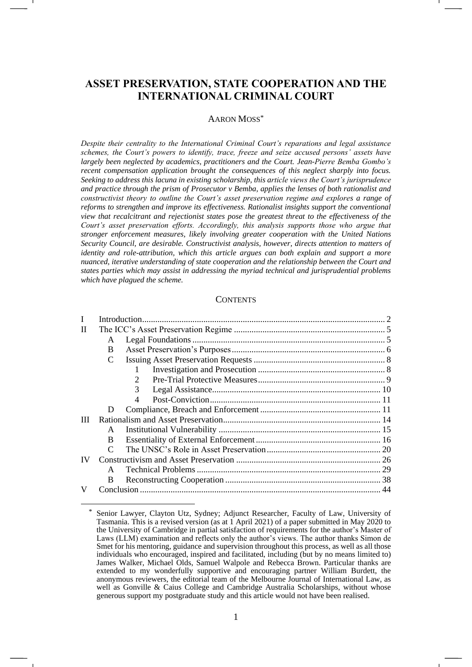# **ASSET PRESERVATION, STATE COOPERATION AND THE INTERNATIONAL CRIMINAL COURT**

#### AARON MOSS\*

*Despite their centrality to the International Criminal Court's reparations and legal assistance schemes, the Court's powers to identify, trace, freeze and seize accused persons' assets have largely been neglected by academics, practitioners and the Court. Jean-Pierre Bemba Gombo's recent compensation application brought the consequences of this neglect sharply into focus. Seeking to address this lacuna in existing scholarship, this article views the Court's jurisprudence and practice through the prism of Prosecutor v Bemba, applies the lenses of both rationalist and constructivist theory to outline the Court's asset preservation regime and explores a range of reforms to strengthen and improve its effectiveness. Rationalist insights support the conventional view that recalcitrant and rejectionist states pose the greatest threat to the effectiveness of the Court's asset preservation efforts. Accordingly, this analysis supports those who argue that stronger enforcement measures, likely involving greater cooperation with the United Nations Security Council, are desirable. Constructivist analysis, however, directs attention to matters of identity and role-attribution, which this article argues can both explain and support a more nuanced, iterative understanding of state cooperation and the relationship between the Court and states parties which may assist in addressing the myriad technical and jurisprudential problems which have plagued the scheme.*

#### **CONTENTS**

| Н         |               |   |  |
|-----------|---------------|---|--|
|           | A             |   |  |
|           | <sub>B</sub>  |   |  |
|           | $\mathcal{C}$ |   |  |
|           |               |   |  |
|           |               |   |  |
|           |               | 3 |  |
|           |               | 4 |  |
|           | D             |   |  |
| Ш         |               |   |  |
|           | $\mathsf{A}$  |   |  |
|           | <sub>B</sub>  |   |  |
|           | $\mathcal{C}$ |   |  |
| <b>IV</b> |               |   |  |
|           | A             |   |  |
|           | B             |   |  |
|           |               |   |  |

Senior Lawyer, Clayton Utz, Sydney; Adjunct Researcher, Faculty of Law, University of Tasmania. This is a revised version (as at 1 April 2021) of a paper submitted in May 2020 to the University of Cambridge in partial satisfaction of requirements for the author's Master of Laws (LLM) examination and reflects only the author's views. The author thanks Simon de Smet for his mentoring, guidance and supervision throughout this process, as well as all those individuals who encouraged, inspired and facilitated, including (but by no means limited to) James Walker, Michael Olds, Samuel Walpole and Rebecca Brown. Particular thanks are extended to my wonderfully supportive and encouraging partner William Burdett, the anonymous reviewers, the editorial team of the Melbourne Journal of International Law, as well as Gonville & Caius College and Cambridge Australia Scholarships, without whose generous support my postgraduate study and this article would not have been realised.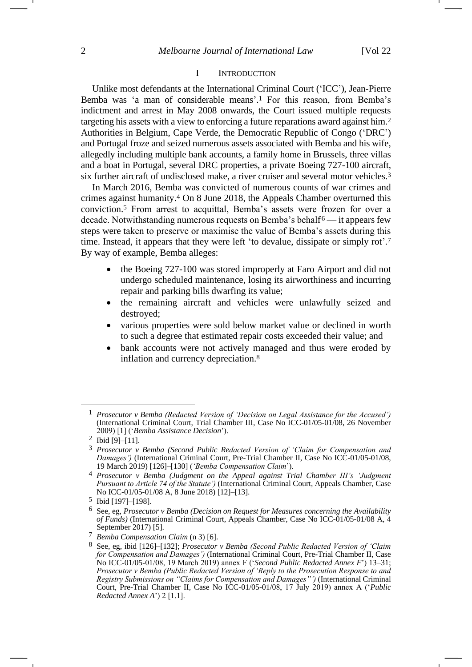#### <span id="page-1-0"></span>I INTRODUCTION

Unlike most defendants at the International Criminal Court ('ICC'), Jean-Pierre Bemba was 'a man of considerable means'. <sup>1</sup> For this reason, from Bemba's indictment and arrest in May 2008 onwards, the Court issued multiple requests targeting his assets with a view to enforcing a future reparations award against him.<sup>2</sup> Authorities in Belgium, Cape Verde, the Democratic Republic of Congo ('DRC') and Portugal froze and seized numerous assets associated with Bemba and his wife, allegedly including multiple bank accounts, a family home in Brussels, three villas and a boat in Portugal, several DRC properties, a private Boeing 727-100 aircraft, six further aircraft of undisclosed make, a river cruiser and several motor vehicles.<sup>3</sup>

In March 2016, Bemba was convicted of numerous counts of war crimes and crimes against humanity.<sup>4</sup> On 8 June 2018, the Appeals Chamber overturned this conviction.<sup>5</sup> From arrest to acquittal, Bemba's assets were frozen for over a decade. Notwithstanding numerous requests on Bemba's behalf <sup>6</sup> — it appears few steps were taken to preserve or maximise the value of Bemba's assets during this time. Instead, it appears that they were left 'to devalue, dissipate or simply rot'.<sup>7</sup> By way of example, Bemba alleges:

- the Boeing 727-100 was stored improperly at Faro Airport and did not undergo scheduled maintenance, losing its airworthiness and incurring repair and parking bills dwarfing its value;
- the remaining aircraft and vehicles were unlawfully seized and destroyed;
- various properties were sold below market value or declined in worth to such a degree that estimated repair costs exceeded their value; and
- <span id="page-1-1"></span>bank accounts were not actively managed and thus were eroded by inflation and currency depreciation.<sup>8</sup>

<sup>1</sup> *Prosecutor v Bemba (Redacted Version of 'Decision on Legal Assistance for the Accused')*  (International Criminal Court, Trial Chamber III, Case No ICC-01/05-01/08, 26 November 2009) [1] ('*Bemba Assistance Decision*').

<sup>2</sup> Ibid [9]–[11].

<sup>3</sup> *Prosecutor v Bemba (Second Public Redacted Version of 'Claim for Compensation and Damages')* (International Criminal Court, Pre-Trial Chamber II, Case No ICC-01/05-01/08, 19 March 2019) [126]–[130] (*'Bemba Compensation Claim*').

<sup>4</sup> *Prosecutor v Bemba (Judgment on the Appeal against Trial Chamber III's 'Judgment Pursuant to Article 74 of the Statute')* (International Criminal Court, Appeals Chamber, Case No ICC-01/05-01/08 A, 8 June 2018) [12]–[13].

<sup>5</sup> Ibid [197]–[198].

<sup>6</sup> See, eg, *Prosecutor v Bemba (Decision on Request for Measures concerning the Availability of Funds*) (International Criminal Court, Appeals Chamber, Case No ICC-01/05-01/08 A, 4 September 2017) [5].

<sup>7</sup> *Bemba Compensation Claim* (n [3\)](#page-1-0) [6].

<sup>8</sup> See, eg, ibid [126]–[132]; *Prosecutor v Bemba (Second Public Redacted Version of 'Claim for Compensation and Damages')* (International Criminal Court, Pre-Trial Chamber II, Case No ICC-01/05-01/08, 19 March 2019) annex F ('*Second Public Redacted Annex F*') 13–31; *Prosecutor v Bemba (Public Redacted Version of 'Reply to the Prosecution Response to and Registry Submissions on "Claims for Compensation and Damages"')* (International Criminal Court, Pre-Trial Chamber II, Case No ICC-01/05-01/08, 17 July 2019) annex A ('*Public Redacted Annex A*') 2 [1.1].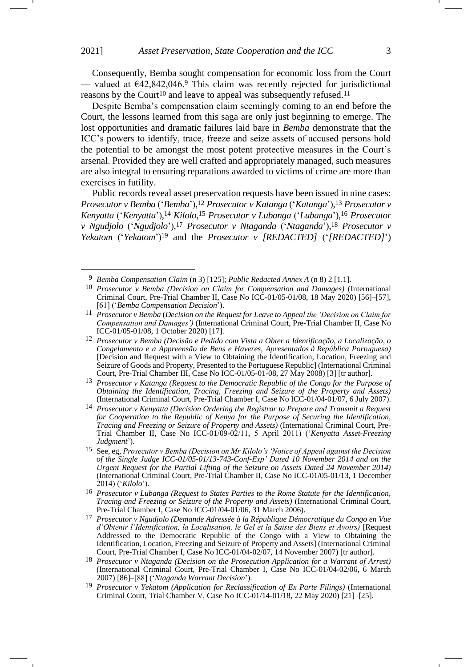Consequently, Bemba sought compensation for economic loss from the Court — valued at  $642,842,046.9$  This claim was recently rejected for jurisdictional reasons by the Court<sup>10</sup> and leave to appeal was subsequently refused.<sup>11</sup>

<span id="page-2-1"></span>Despite Bemba's compensation claim seemingly coming to an end before the Court, the lessons learned from this saga are only just beginning to emerge. The lost opportunities and dramatic failures laid bare in *Bemba* demonstrate that the ICC's powers to identify, trace, freeze and seize assets of accused persons hold the potential to be amongst the most potent protective measures in the Court's arsenal. Provided they are well crafted and appropriately managed, such measures are also integral to ensuring reparations awarded to victims of crime are more than exercises in futility.

Public records reveal asset preservation requests have been issued in nine cases: *Prosecutor v Bemba* ('*Bemba*'), <sup>12</sup> *Prosecutor v Katanga* ('*Katanga*'), <sup>13</sup> *Prosecutor v Kenyatta* ('*Kenyatta*'), <sup>14</sup> *Kilolo*, <sup>15</sup> *Prosecutor v Lubanga* ('*Lubanga*'), <sup>16</sup> *Prosecutor v Ngudjolo* ('*Ngudjolo*'), <sup>17</sup> *Prosecutor v Ntaganda* ('*Ntaganda*'), <sup>18</sup> *Prosecutor v Yekatom* ('*Yekatom*')<sup>19</sup> and the *Prosecutor v [REDACTED]* ('*[REDACTED]*')

<span id="page-2-0"></span><sup>9</sup> *Bemba Compensation Claim* (n [3\)](#page-1-0) [125]; *Public Redacted Annex A* (n [8\)](#page-1-1) 2 [1.1].

<sup>10</sup> *Prosecutor v Bemba (Decision on Claim for Compensation and Damages)* (International Criminal Court, Pre-Trial Chamber II, Case No ICC-01/05-01/08, 18 May 2020) [56]–[57], [61] ('*Bemba Compensation Decision*').

<sup>11</sup> *Prosecutor v Bemba* (*Decision on the Request for Leave to Appeal the 'Decision on Claim for Compensation and Damages')* (International Criminal Court, Pre-Trial Chamber II, Case No ICC-01/05-01/08, 1 October 2020) [17].

<sup>12</sup> *Prosecutor v Bemba (Decisão e Pedido com Vista a Obter a Identificação, a Localização, o Congelamento e a Appreensão de Bens e Haveres, Apresentados à República Portuguesa)*  [Decision and Request with a View to Obtaining the Identification, Location, Freezing and Seizure of Goods and Property, Presented to the Portuguese Republic] (International Criminal Court, Pre-Trial Chamber III, Case No ICC-01/05-01-08, 27 May 2008) [3] [tr author].

<sup>13</sup> *Prosecutor v Katanga (Request to the Democratic Republic of the Congo for the Purpose of Obtaining the Identification, Tracing, Freezing and Seizure of the Property and Assets)*  (International Criminal Court, Pre-Trial Chamber I, Case No ICC-01/04-01/07, 6 July 2007).

<sup>14</sup> *Prosecutor v Kenyatta (Decision Ordering the Registrar to Prepare and Transmit a Request*  for Cooperation to the Republic of Kenya for the Purpose of Securing the Identification, *Tracing and Freezing or Seizure of Property and Assets)* (International Criminal Court, Pre-Trial Chamber II, Case No ICC-01/09-02/11, 5 April 2011) ('*Kenyatta Asset-Freezing Judgment*').

<sup>15</sup> See, eg, *Prosecutor v Bemba (Decision on Mr Kilolo's 'Notice of Appeal against the Decision of the Single Judge ICC-01/05-01/13-743-Conf-Exp' Dated 10 November 2014 and on the Urgent Request for the Partial Lifting of the Seizure on Assets Dated 24 November 2014)*  (International Criminal Court, Pre-Trial Chamber II, Case No ICC-01/05-01/13, 1 December 2014) ('*Kilolo*').

<sup>16</sup> *Prosecutor v Lubanga (Request to States Parties to the Rome Statute for the Identification, Tracing and Freezing or Seizure of the Property and Assets)* (International Criminal Court, Pre-Trial Chamber I, Case No ICC-01/04-01/06, 31 March 2006).

<sup>17</sup> *Prosecutor v Ngudjolo (Demande Adressée à la République Démocratique du Congo en Vue d'Obtenir l'Identification, la Localisation, le Gel et la Saisie des Biens et Avoirs)* [Request Addressed to the Democratic Republic of the Congo with a View to Obtaining the Identification, Location, Freezing and Seizure of Property and Assets] (International Criminal Court, Pre-Trial Chamber I, Case No ICC-01/04-02/07, 14 November 2007) [tr author].

<sup>18</sup> *Prosecutor v Ntaganda (Decision on the Prosecution Application for a Warrant of Arrest)*  (International Criminal Court, Pre-Trial Chamber I, Case No ICC-01/04-02/06, 6 March 2007) [86]–[88] ('*Ntaganda Warrant Decision*').

<sup>19</sup> *Prosecutor v Yekatom (Application for Reclassification of Ex Parte Filings)* (International Criminal Court, Trial Chamber V, Case No ICC-01/14-01/18, 22 May 2020)  $[21]$ – $[25]$ .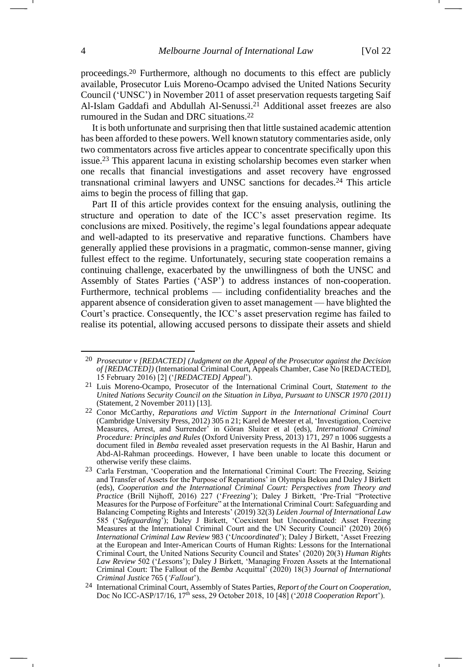<span id="page-3-0"></span>proceedings.<sup>20</sup> Furthermore, although no documents to this effect are publicly available, Prosecutor Luis Moreno-Ocampo advised the United Nations Security Council ('UNSC') in November 2011 of asset preservation requests targeting Saif Al-Islam Gaddafi and Abdullah Al-Senussi.<sup>21</sup> Additional asset freezes are also rumoured in the Sudan and DRC situations.<sup>22</sup>

<span id="page-3-2"></span><span id="page-3-1"></span>It is both unfortunate and surprising then that little sustained academic attention has been afforded to these powers. Well known statutory commentaries aside, only two commentators across five articles appear to concentrate specifically upon this issue.<sup>23</sup> This apparent lacuna in existing scholarship becomes even starker when one recalls that financial investigations and asset recovery have engrossed transnational criminal lawyers and UNSC sanctions for decades.<sup>24</sup> This article aims to begin the process of filling that gap.

<span id="page-3-3"></span>Part II of this article provides context for the ensuing analysis, outlining the structure and operation to date of the ICC's asset preservation regime. Its conclusions are mixed. Positively, the regime's legal foundations appear adequate and well-adapted to its preservative and reparative functions. Chambers have generally applied these provisions in a pragmatic, common-sense manner, giving fullest effect to the regime. Unfortunately, securing state cooperation remains a continuing challenge, exacerbated by the unwillingness of both the UNSC and Assembly of States Parties ('ASP') to address instances of non-cooperation. Furthermore, technical problems — including confidentiality breaches and the apparent absence of consideration given to asset management — have blighted the Court's practice. Consequently, the ICC's asset preservation regime has failed to realise its potential, allowing accused persons to dissipate their assets and shield

<sup>20</sup> *Prosecutor v [REDACTED] (Judgment on the Appeal of the Prosecutor against the Decision of [REDACTED])* (International Criminal Court, Appeals Chamber, Case No [REDACTED], 15 February 2016) [2] ('*[REDACTED] Appeal*').

<sup>21</sup> Luis Moreno-Ocampo, Prosecutor of the International Criminal Court, *Statement to the United Nations Security Council on the Situation in Libya, Pursuant to UNSCR 1970 (2011)*  (Statement, 2 November 2011) [13].

<sup>22</sup> Conor McCarthy, *Reparations and Victim Support in the International Criminal Court*  (Cambridge University Press, 2012) 305 n 21; Karel de Meester et al, 'Investigation, Coercive Measures, Arrest, and Surrender' in Göran Sluiter et al (eds), *International Criminal Procedure: Principles and Rules* (Oxford University Press, 2013) 171, 297 n 1006 suggests a document filed in *Bemba* revealed asset preservation requests in the Al Bashir, Harun and Abd-Al-Rahman proceedings. However, I have been unable to locate this document or otherwise verify these claims.

<sup>23</sup> Carla Ferstman, 'Cooperation and the International Criminal Court: The Freezing, Seizing and Transfer of Assets for the Purpose of Reparations' in Olympia Bekou and Daley J Birkett (eds), *Cooperation and the International Criminal Court: Perspectives from Theory and Practice* (Brill Nijhoff, 2016) 227 ('*Freezing*'); Daley J Birkett, 'Pre-Trial "Protective Measures for the Purpose of Forfeiture" at the International Criminal Court: Safeguarding and Balancing Competing Rights and Interests' (2019) 32(3) *Leiden Journal of International Law* 585 ('*Safeguarding*'); Daley J Birkett, 'Coexistent but Uncoordinated: Asset Freezing Measures at the International Criminal Court and the UN Security Council' (2020) 20(6) *International Criminal Law Review* 983 ('*Uncoordinated*'); Daley J Birkett, 'Asset Freezing at the European and Inter-American Courts of Human Rights: Lessons for the International Criminal Court, the United Nations Security Council and States' (2020) 20(3) *Human Rights Law Review* 502 ('*Lessons*'); Daley J Birkett, 'Managing Frozen Assets at the International Criminal Court: The Fallout of the *Bemba* Acquittal' (2020) 18(3) *Journal of International Criminal Justice* 765 (*'Fallout*').

<sup>24</sup> International Criminal Court, Assembly of States Parties, *Report of the Court on Cooperation*, Doc No ICC-ASP/17/16, 17th sess, 29 October 2018, 10 [48] ('*2018 Cooperation Report*').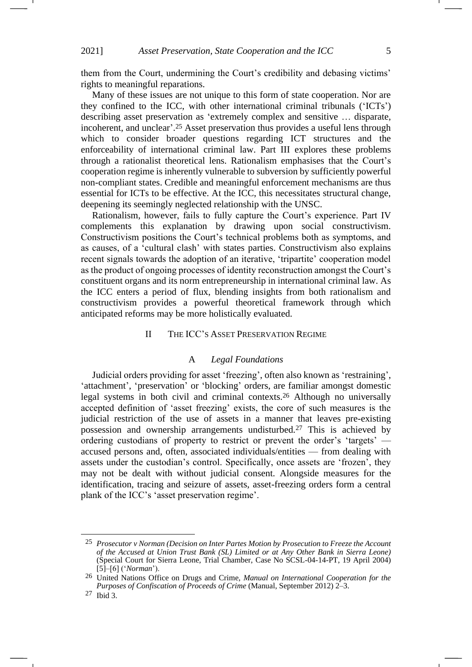them from the Court, undermining the Court's credibility and debasing victims' rights to meaningful reparations.

<span id="page-4-0"></span>Many of these issues are not unique to this form of state cooperation. Nor are they confined to the ICC, with other international criminal tribunals ('ICTs') describing asset preservation as 'extremely complex and sensitive … disparate, incoherent, and unclear'. <sup>25</sup> Asset preservation thus provides a useful lens through which to consider broader questions regarding ICT structures and the enforceability of international criminal law. Part III explores these problems through a rationalist theoretical lens. Rationalism emphasises that the Court's cooperation regime is inherently vulnerable to subversion by sufficiently powerful non-compliant states. Credible and meaningful enforcement mechanisms are thus essential for ICTs to be effective. At the ICC, this necessitates structural change, deepening its seemingly neglected relationship with the UNSC.

Rationalism, however, fails to fully capture the Court's experience. Part IV complements this explanation by drawing upon social constructivism. Constructivism positions the Court's technical problems both as symptoms, and as causes, of a 'cultural clash' with states parties. Constructivism also explains recent signals towards the adoption of an iterative, 'tripartite' cooperation model as the product of ongoing processes of identity reconstruction amongst the Court's constituent organs and its norm entrepreneurship in international criminal law. As the ICC enters a period of flux, blending insights from both rationalism and constructivism provides a powerful theoretical framework through which anticipated reforms may be more holistically evaluated.

### II THE ICC'S ASSET PRESERVATION REGIME

## A *Legal Foundations*

Judicial orders providing for asset 'freezing', often also known as 'restraining', 'attachment', 'preservation' or 'blocking' orders, are familiar amongst domestic legal systems in both civil and criminal contexts.<sup>26</sup> Although no universally accepted definition of 'asset freezing' exists, the core of such measures is the judicial restriction of the use of assets in a manner that leaves pre-existing possession and ownership arrangements undisturbed.<sup>27</sup> This is achieved by ordering custodians of property to restrict or prevent the order's 'targets' accused persons and, often, associated individuals/entities — from dealing with assets under the custodian's control. Specifically, once assets are 'frozen', they may not be dealt with without judicial consent. Alongside measures for the identification, tracing and seizure of assets, asset-freezing orders form a central plank of the ICC's 'asset preservation regime'.

<sup>25</sup> *Prosecutor v Norman (Decision on Inter Partes Motion by Prosecution to Freeze the Account of the Accused at Union Trust Bank (SL) Limited or at Any Other Bank in Sierra Leone)*  (Special Court for Sierra Leone, Trial Chamber, Case No SCSL-04-14-PT, 19 April 2004) [5]–[6] ('*Norman*').

<sup>26</sup> United Nations Office on Drugs and Crime, *Manual on International Cooperation for the Purposes of Confiscation of Proceeds of Crime* (Manual, September 2012) 2–3.

<sup>27</sup> Ibid 3.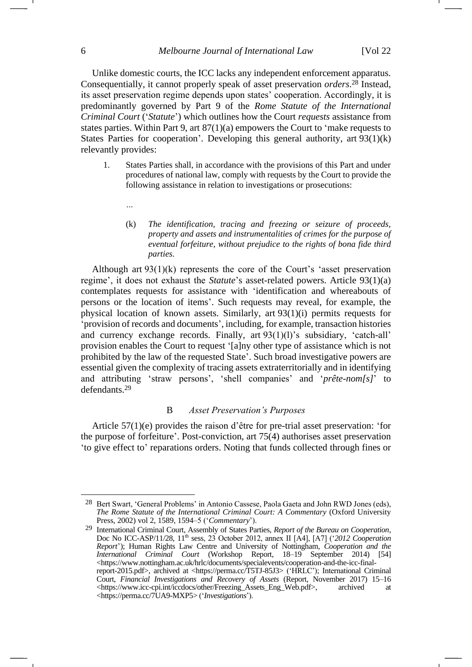Unlike domestic courts, the ICC lacks any independent enforcement apparatus. Consequentially, it cannot properly speak of asset preservation *orders*. <sup>28</sup> Instead, its asset preservation regime depends upon states' cooperation. Accordingly, it is predominantly governed by Part 9 of the *Rome Statute of the International Criminal Court* ('*Statute*') which outlines how the Court *requests* assistance from states parties. Within Part 9, art 87(1)(a) empowers the Court to 'make requests to States Parties for cooperation'. Developing this general authority, art  $93(1)(k)$ relevantly provides:

- 1. States Parties shall, in accordance with the provisions of this Part and under procedures of national law, comply with requests by the Court to provide the following assistance in relation to investigations or prosecutions:
	- (k) *The identification, tracing and freezing or seizure of proceeds, property and assets and instrumentalities of crimes for the purpose of eventual forfeiture, without prejudice to the rights of bona fide third parties.*

Although art  $93(1)(k)$  represents the core of the Court's 'asset preservation regime', it does not exhaust the *Statute*'s asset-related powers. Article 93(1)(a) contemplates requests for assistance with 'identification and whereabouts of persons or the location of items'. Such requests may reveal, for example, the physical location of known assets. Similarly, art 93(1)(i) permits requests for 'provision of records and documents', including, for example, transaction histories and currency exchange records. Finally, art 93(1)(l)'s subsidiary, 'catch-all' provision enables the Court to request '[a]ny other type of assistance which is not prohibited by the law of the requested State'. Such broad investigative powers are essential given the complexity of tracing assets extraterritorially and in identifying and attributing 'straw persons', 'shell companies' and '*prête-nom[s]*' to defendants.<sup>29</sup>

### <span id="page-5-0"></span>B *Asset Preservation's Purposes*

Article 57(1)(e) provides the raison d'être for pre-trial asset preservation: 'for the purpose of forfeiture'. Post-conviction, art 75(4) authorises asset preservation 'to give effect to' reparations orders. Noting that funds collected through fines or

*…*

<sup>28</sup> Bert Swart, 'General Problems' in Antonio Cassese, Paola Gaeta and John RWD Jones (eds), *The Rome Statute of the International Criminal Court: A Commentary* (Oxford University Press, 2002) vol 2, 1589, 1594–5 ('*Commentary*').

<sup>29</sup> International Criminal Court, Assembly of States Parties, *Report of the Bureau on Cooperation*, Doc No ICC-ASP/11/28, 11<sup>th</sup> sess, 23 October 2012, annex II [A4], [A7] ('2012 Cooperation *Report*'); Human Rights Law Centre and University of Nottingham, *Cooperation and the International Criminal Court* (Workshop Report, 18–19 September 2014) [54] [<https://www.nottingham.ac.uk/hrlc/documents/specialevents/cooperation-and-the-icc-final](https://www.nottingham.ac.uk/hrlc/documents/specialevents/cooperation-and-the-icc-final-report-2015.pdf)[report-2015.pdf>](https://www.nottingham.ac.uk/hrlc/documents/specialevents/cooperation-and-the-icc-final-report-2015.pdf), archived at <https://perma.cc/T5TJ-85J3> ('HRLC'); International Criminal Court, *Financial Investigations and Recovery of Assets* (Report, November 2017) 15–16 <https://www.icc-cpi.int/iccdocs/other/Freezing\_Assets\_Eng\_Web.pdf>, archived at <https://perma.cc/7UA9-MXP5> ('*Investigations*').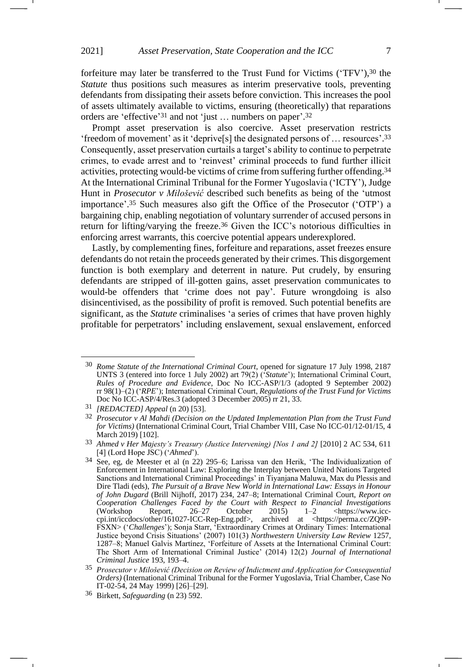<span id="page-6-1"></span>forfeiture may later be transferred to the Trust Fund for Victims ('TFV'),<sup>30</sup> the *Statute* thus positions such measures as interim preservative tools, preventing defendants from dissipating their assets before conviction. This increases the pool of assets ultimately available to victims, ensuring (theoretically) that reparations orders are 'effective' <sup>31</sup> and not 'just … numbers on paper'. 32

<span id="page-6-2"></span><span id="page-6-0"></span>Prompt asset preservation is also coercive. Asset preservation restricts 'freedom of movement' as it 'deprive[s] the designated persons of … resources'. 33 Consequently, asset preservation curtails a target's ability to continue to perpetrate crimes, to evade arrest and to 'reinvest' criminal proceeds to fund further illicit activities, protecting would-be victims of crime from suffering further offending.<sup>34</sup> At the International Criminal Tribunal for the Former Yugoslavia ('ICTY'), Judge Hunt in *Prosecutor v Milošević* described such benefits as being of the 'utmost importance'. <sup>35</sup> Such measures also gift the Office of the Prosecutor ('OTP') a bargaining chip, enabling negotiation of voluntary surrender of accused persons in return for lifting/varying the freeze.<sup>36</sup> Given the ICC's notorious difficulties in enforcing arrest warrants, this coercive potential appears underexplored.

Lastly, by complementing fines, forfeiture and reparations, asset freezes ensure defendants do not retain the proceeds generated by their crimes. This disgorgement function is both exemplary and deterrent in nature. Put crudely, by ensuring defendants are stripped of ill-gotten gains, asset preservation communicates to would-be offenders that 'crime does not pay'. Future wrongdoing is also disincentivised, as the possibility of profit is removed. Such potential benefits are significant, as the *Statute* criminalises 'a series of crimes that have proven highly profitable for perpetrators' including enslavement, sexual enslavement, enforced

<sup>30</sup> *Rome Statute of the International Criminal Court*, opened for signature 17 July 1998, 2187 UNTS 3 (entered into force 1 July 2002) art 79(2) ('*Statute*'); International Criminal Court, *Rules of Procedure and Evidence*, Doc No ICC-ASP/1/3 (adopted 9 September 2002) rr 98(1)–(2) ('*RPE*'); International Criminal Court, *Regulations of the Trust Fund for Victims* Doc No ICC-ASP/4/Res.3 (adopted 3 December 2005) rr 21, 33.

<sup>31</sup> *[REDACTED] Appeal* (n [20\)](#page-3-0) [53].

<sup>32</sup> *Prosecutor v Al Mahdi (Decision on the Updated Implementation Plan from the Trust Fund for Victims)* (International Criminal Court, Trial Chamber VIII, Case No ICC-01/12-01/15, 4 March 2019) [102].

<sup>&</sup>lt;sup>33</sup> Ahmed v Her Majesty's Treasury (Justice Intervening) [Nos 1 and 2] [2010] 2 AC 534, 611 [4] (Lord Hope JSC) ('*Ahmed*').

<sup>34</sup> See, eg, de Meester et al (n [22\)](#page-3-1) 295–6; Larissa van den Herik, 'The Individualization of Enforcement in International Law: Exploring the Interplay between United Nations Targeted Sanctions and International Criminal Proceedings' in Tiyanjana Maluwa, Max du Plessis and Dire Tladi (eds), *The Pursuit of a Brave New World in International Law: Essays in Honour of John Dugard* (Brill Nijhoff, 2017) 234, 247–8; International Criminal Court, *Report on Cooperation Challenges Faced by the Court with Respect to Financial Investigations* (Workshop Report,  $26-27$  October  $2015$ )  $1-2$  <https://www.icccpi.int/iccdocs/other/161027-ICC-Rep-Eng.pdf>, archived at <https://perma.cc/ZQ9P-FSXN> ('*Challenges*'); Sonja Starr, 'Extraordinary Crimes at Ordinary Times: International Justice beyond Crisis Situations' (2007) 101(3) *Northwestern University Law Review* 1257, 1287–8; Manuel Galvis Martínez, 'Forfeiture of Assets at the International Criminal Court: The Short Arm of International Criminal Justice' (2014) 12(2) *Journal of International Criminal Justice* 193, 193–4.

<sup>35</sup> *Prosecutor v Milošević (Decision on Review of Indictment and Application for Consequential Orders)* (International Criminal Tribunal for the Former Yugoslavia, Trial Chamber, Case No IT-02-54, 24 May 1999) [26]–[29].

<sup>36</sup> Birkett, *Safeguarding* (n [23\)](#page-3-2) 592.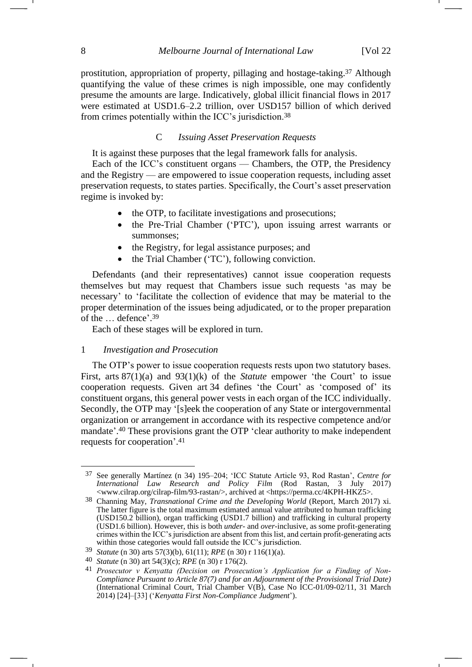prostitution, appropriation of property, pillaging and hostage-taking.<sup>37</sup> Although quantifying the value of these crimes is nigh impossible, one may confidently presume the amounts are large. Indicatively, global illicit financial flows in 2017 were estimated at USD1.6–2.2 trillion, over USD157 billion of which derived from crimes potentially within the ICC's jurisdiction.<sup>38</sup>

## C *Issuing Asset Preservation Requests*

It is against these purposes that the legal framework falls for analysis.

Each of the ICC's constituent organs — Chambers, the OTP, the Presidency and the Registry — are empowered to issue cooperation requests, including asset preservation requests, to states parties. Specifically, the Court's asset preservation regime is invoked by:

- the OTP, to facilitate investigations and prosecutions;
- the Pre-Trial Chamber ('PTC'), upon issuing arrest warrants or summonses;
- the Registry, for legal assistance purposes; and
- the Trial Chamber ('TC'), following conviction.

Defendants (and their representatives) cannot issue cooperation requests themselves but may request that Chambers issue such requests 'as may be necessary' to 'facilitate the collection of evidence that may be material to the proper determination of the issues being adjudicated, or to the proper preparation of the … defence'. 39

Each of these stages will be explored in turn.

#### 1 *Investigation and Prosecution*

The OTP's power to issue cooperation requests rests upon two statutory bases. First, arts 87(1)(a) and 93(1)(k) of the *Statute* empower 'the Court' to issue cooperation requests. Given art 34 defines 'the Court' as 'composed of' its constituent organs, this general power vests in each organ of the ICC individually. Secondly, the OTP may '[s]eek the cooperation of any State or intergovernmental organization or arrangement in accordance with its respective competence and/or mandate'. <sup>40</sup> These provisions grant the OTP 'clear authority to make independent requests for cooperation'. 41

<span id="page-7-0"></span><sup>37</sup> See generally Martínez (n [34\)](#page-6-0) 195–204; 'ICC Statute Article 93, Rod Rastan', *Centre for International Law Research and Policy Film* (Rod Rastan, 3 July 2017) <www.cilrap.org/cilrap-film/93-rastan/>, archived at <https://perma.cc/4KPH-HKZ5>.

<sup>38</sup> Channing May, *Transnational Crime and the Developing World* (Report, March 2017) xi. The latter figure is the total maximum estimated annual value attributed to human trafficking (USD150.2 billion), organ trafficking (USD1.7 billion) and trafficking in cultural property (USD1.6 billion). However, this is both *under*- and *over-*inclusive, as some profit-generating crimes within the ICC's jurisdiction are absent from this list, and certain profit-generating acts within those categories would fall outside the ICC's jurisdiction.

<sup>39</sup> *Statute* (n [30\)](#page-6-1) arts 57(3)(b), 61(11); *RPE* ([n 30\)](#page-6-1) r 116(1)(a).

<sup>40</sup> *Statute* (n [30\)](#page-6-1) art 54(3)(c); *RPE* ([n 30\)](#page-6-1) r 176(2).

<sup>41</sup> *Prosecutor v Kenyatta (Decision on Prosecution's Application for a Finding of Non-Compliance Pursuant to Article 87(7) and for an Adjournment of the Provisional Trial Date)*  (International Criminal Court, Trial Chamber V(B), Case No ICC-01/09-02/11, 31 March 2014) [24]–[33] ('*Kenyatta First Non-Compliance Judgment*').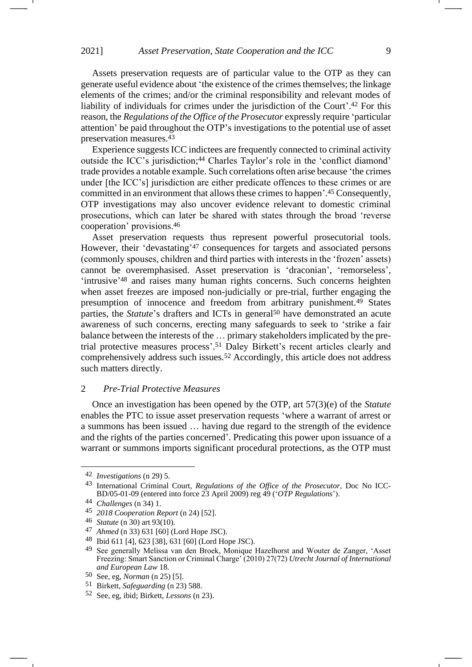Assets preservation requests are of particular value to the OTP as they can generate useful evidence about 'the existence of the crimes themselves; the linkage elements of the crimes; and/or the criminal responsibility and relevant modes of liability of individuals for crimes under the jurisdiction of the Court'. <sup>42</sup> For this reason, the *Regulations of the Office of the Prosecutor* expressly require 'particular attention' be paid throughout the OTP's investigations to the potential use of asset preservation measures.<sup>43</sup>

<span id="page-8-0"></span>Experience suggests ICC indictees are frequently connected to criminal activity outside the ICC's jurisdiction;<sup>44</sup> Charles Taylor's role in the 'conflict diamond' trade provides a notable example. Such correlations often arise because 'the crimes under [the ICC's] jurisdiction are either predicate offences to these crimes or are committed in an environment that allows these crimes to happen'. <sup>45</sup> Consequently, OTP investigations may also uncover evidence relevant to domestic criminal prosecutions, which can later be shared with states through the broad 'reverse cooperation' provisions.<sup>46</sup>

Asset preservation requests thus represent powerful prosecutorial tools. However, their 'devastating' <sup>47</sup> consequences for targets and associated persons (commonly spouses, children and third parties with interests in the 'frozen' assets) cannot be overemphasised. Asset preservation is 'draconian', 'remorseless', 'intrusive'<sup>48</sup> and raises many human rights concerns. Such concerns heighten when asset freezes are imposed non-judicially or pre-trial, further engaging the presumption of innocence and freedom from arbitrary punishment.<sup>49</sup> States parties, the *Statute*'s drafters and ICTs in general<sup>50</sup> have demonstrated an acute awareness of such concerns, erecting many safeguards to seek to 'strike a fair balance between the interests of the … primary stakeholders implicated by the pretrial protective measures process'. <sup>51</sup> Daley Birkett's recent articles clearly and comprehensively address such issues.<sup>52</sup> Accordingly, this article does not address such matters directly.

#### 2 *Pre-Trial Protective Measures*

Once an investigation has been opened by the OTP, art 57(3)(e) of the *Statute* enables the PTC to issue asset preservation requests 'where a warrant of arrest or a summons has been issued … having due regard to the strength of the evidence and the rights of the parties concerned'. Predicating this power upon issuance of a warrant or summons imports significant procedural protections, as the OTP must

<sup>42</sup> *Investigations* (n [29\)](#page-5-0) 5.

<sup>43</sup> International Criminal Court, *Regulations of the Office of the Prosecutor*, Doc No ICC-BD/05-01-09 (entered into force 23 April 2009) reg 49 ('*OTP Regulations*').

<sup>44</sup> *Challenges* (n [34\)](#page-6-0) 1.

<sup>45</sup> *2018 Cooperation Report* (n [24\)](#page-3-3) [52].

<sup>46</sup> *Statute* (n [30\)](#page-6-1) art 93(10).

<sup>47</sup> *Ahmed* (n [33\)](#page-6-2) 631 [60] (Lord Hope JSC).

<sup>48</sup> Ibid 611 [4], 623 [38], 631 [60] (Lord Hope JSC).

<sup>49</sup> See generally Melissa van den Broek, Monique Hazelhorst and Wouter de Zanger, 'Asset Freezing: Smart Sanction or Criminal Charge' (2010) 27(72) *Utrecht Journal of International and European Law* 18.

<sup>50</sup> See, eg, *Norman* (n [25\)](#page-4-0) [5].

<sup>51</sup> Birkett, *Safeguarding* (n [23\)](#page-3-2) 588.

<sup>52</sup> See, eg, ibid; Birkett, *Lessons* (n [23\)](#page-3-2).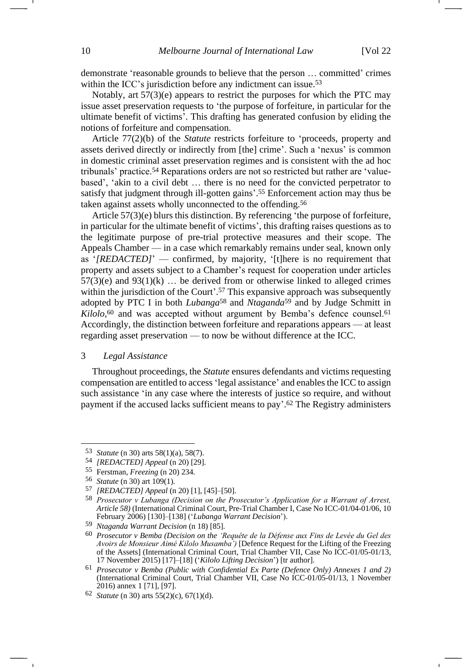demonstrate 'reasonable grounds to believe that the person … committed' crimes within the ICC's jurisdiction before any indictment can issue.<sup>53</sup>

Notably, art 57(3)(e) appears to restrict the purposes for which the PTC may issue asset preservation requests to 'the purpose of forfeiture, in particular for the ultimate benefit of victims'. This drafting has generated confusion by eliding the notions of forfeiture and compensation.

Article 77(2)(b) of the *Statute* restricts forfeiture to 'proceeds, property and assets derived directly or indirectly from [the] crime'. Such a 'nexus' is common in domestic criminal asset preservation regimes and is consistent with the ad hoc tribunals' practice.<sup>54</sup> Reparations orders are not so restricted but rather are 'valuebased', 'akin to a civil debt … there is no need for the convicted perpetrator to satisfy that judgment through ill-gotten gains'. <sup>55</sup> Enforcement action may thus be taken against assets wholly unconnected to the offending.<sup>56</sup>

Article 57(3)(e) blurs this distinction. By referencing 'the purpose of forfeiture, in particular for the ultimate benefit of victims', this drafting raises questions as to the legitimate purpose of pre-trial protective measures and their scope. The Appeals Chamber — in a case which remarkably remains under seal, known only as '*[REDACTED]*' — confirmed, by majority, '[t]here is no requirement that property and assets subject to a Chamber's request for cooperation under articles  $57(3)$ (e) and  $93(1)$ (k) ... be derived from or otherwise linked to alleged crimes within the jurisdiction of the Court'.<sup>57</sup> This expansive approach was subsequently adopted by PTC I in both *Lubanga*<sup>58</sup> and *Ntaganda*<sup>59</sup> and by Judge Schmitt in Kilolo,<sup>60</sup> and was accepted without argument by Bemba's defence counsel.<sup>61</sup> Accordingly, the distinction between forfeiture and reparations appears — at least regarding asset preservation — to now be without difference at the ICC.

## <span id="page-9-1"></span><span id="page-9-0"></span>3 *Legal Assistance*

Throughout proceedings, the *Statute* ensures defendants and victims requesting compensation are entitled to access 'legal assistance' and enables the ICC to assign such assistance 'in any case where the interests of justice so require, and without payment if the accused lacks sufficient means to pay'. <sup>62</sup> The Registry administers

<sup>53</sup> *Statute* (n [30\)](#page-6-1) arts 58(1)(a), 58(7).

<sup>54</sup> *[REDACTED] Appeal* (n [20\)](#page-3-0) [29].

<sup>55</sup> Ferstman, *Freezing* (n [20\)](#page-3-0) 234.

<sup>56</sup> *Statute* (n [30\)](#page-6-1) art 109(1).

<sup>57</sup> *[REDACTED] Appeal* (n [20\)](#page-3-0) [1], [45]–[50].

<sup>58</sup> *Prosecutor v Lubanga (Decision on the Prosecutor's Application for a Warrant of Arrest, Article 58)* (International Criminal Court, Pre-Trial Chamber I, Case No ICC-01/04-01/06, 10 February 2006) [130]–[138] ('*Lubanga Warrant Decision*').

<sup>59</sup> *Ntaganda Warrant Decision* (n [18\)](#page-2-0) [85].

<sup>60</sup> *Prosecutor v Bemba (Decision on the 'Requête de la Défense aux Fins de Levée du Gel des Avoirs de Monsieur Aimé Kilolo Musamba')* [Defence Request for the Lifting of the Freezing of the Assets] (International Criminal Court, Trial Chamber VII, Case No ICC-01/05-01/13, 17 November 2015) [17]–[18] ('*Kilolo Lifting Decision*') [tr author].

<sup>61</sup> *Prosecutor v Bemba (Public with Confidential Ex Parte (Defence Only) Annexes 1 and 2)*  (International Criminal Court, Trial Chamber VII, Case No ICC-01/05-01/13, 1 November 2016) annex 1 [71], [97].

<sup>62</sup> *Statute* (n [30\)](#page-6-1) arts 55(2)(c), 67(1)(d).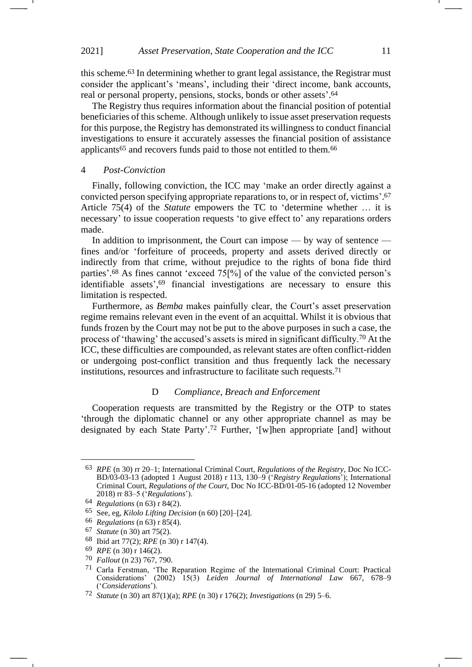<span id="page-10-0"></span>this scheme.<sup>63</sup> In determining whether to grant legal assistance, the Registrar must consider the applicant's 'means', including their 'direct income, bank accounts, real or personal property, pensions, stocks, bonds or other assets'. 64

The Registry thus requires information about the financial position of potential beneficiaries of this scheme. Although unlikely to issue asset preservation requests for this purpose, the Registry has demonstrated its willingness to conduct financial investigations to ensure it accurately assesses the financial position of assistance applicants<sup>65</sup> and recovers funds paid to those not entitled to them.<sup>66</sup>

### 4 *Post-Conviction*

Finally, following conviction, the ICC may 'make an order directly against a convicted person specifying appropriate reparations to, or in respect of, victims'. 67 Article 75(4) of the *Statute* empowers the TC to 'determine whether … it is necessary' to issue cooperation requests 'to give effect to' any reparations orders made.

In addition to imprisonment, the Court can impose — by way of sentence fines and/or 'forfeiture of proceeds, property and assets derived directly or indirectly from that crime, without prejudice to the rights of bona fide third parties'. <sup>68</sup> As fines cannot 'exceed 75[%] of the value of the convicted person's identifiable assets', <sup>69</sup> financial investigations are necessary to ensure this limitation is respected.

Furthermore, as *Bemba* makes painfully clear, the Court's asset preservation regime remains relevant even in the event of an acquittal. Whilst it is obvious that funds frozen by the Court may not be put to the above purposes in such a case, the process of 'thawing' the accused's assets is mired in significant difficulty.<sup>70</sup> At the ICC, these difficulties are compounded, as relevant states are often conflict-ridden or undergoing post-conflict transition and thus frequently lack the necessary institutions, resources and infrastructure to facilitate such requests.<sup>71</sup>

# <span id="page-10-1"></span>D *Compliance, Breach and Enforcement*

Cooperation requests are transmitted by the Registry or the OTP to states 'through the diplomatic channel or any other appropriate channel as may be designated by each State Party'. <sup>72</sup> Further, '[w]hen appropriate [and] without

<sup>63</sup> *RPE* (n [30\)](#page-6-1) rr 20–1; International Criminal Court, *Regulations of the Registry*, Doc No ICC-BD/03-03-13 (adopted 1 August 2018) r 113, 130–9 ('*Registry Regulations*'); International Criminal Court, *Regulations of the Court*, Doc No ICC-BD/01-05-16 (adopted 12 November 2018) rr 83–5 ('*Regulations*').

<sup>64</sup> *Regulations* (n [63\)](#page-10-0) r 84(2).

<sup>65</sup> See, eg, *Kilolo Lifting Decision* (n [60\)](#page-9-0) [20]–[24].

<sup>66</sup> *Regulations* (n [63\)](#page-10-0) r 85(4).

<sup>67</sup> *Statute* (n [30\)](#page-6-1) art 75(2).

<sup>68</sup> Ibid art 77(2); *RPE* (n [30\)](#page-6-1) r 147(4).

<sup>69</sup> *RPE* ([n 30\)](#page-6-1) r 146(2).

<sup>70</sup> *Fallout* (n [23\)](#page-3-2) 767, 790.

<sup>71</sup> Carla Ferstman, 'The Reparation Regime of the International Criminal Court: Practical Considerations' (2002) 15(3) *Leiden Journal of International Law* 667, 678–9 ('*Considerations*').

<sup>72</sup> *Statute* (n [30\)](#page-6-1) art 87(1)(a); *RPE* ([n 30\)](#page-6-1) r 176(2); *Investigations* (n [29\)](#page-5-0) 5–6.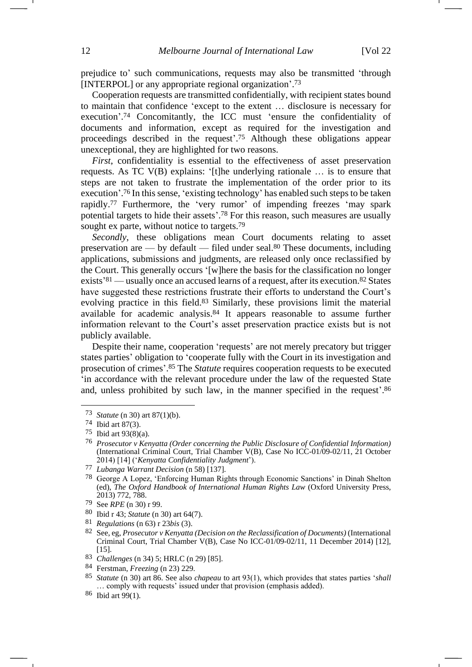prejudice to' such communications, requests may also be transmitted 'through [INTERPOL] or any appropriate regional organization'. 73

Cooperation requests are transmitted confidentially, with recipient states bound to maintain that confidence 'except to the extent … disclosure is necessary for execution'. <sup>74</sup> Concomitantly, the ICC must 'ensure the confidentiality of documents and information, except as required for the investigation and proceedings described in the request'. <sup>75</sup> Although these obligations appear unexceptional, they are highlighted for two reasons.

<span id="page-11-0"></span>*First*, confidentiality is essential to the effectiveness of asset preservation requests. As TC V(B) explains: '[t]he underlying rationale … is to ensure that steps are not taken to frustrate the implementation of the order prior to its execution'.<sup>76</sup> In this sense, 'existing technology' has enabled such steps to be taken rapidly.<sup>77</sup> Furthermore, the 'very rumor' of impending freezes 'may spark potential targets to hide their assets'. <sup>78</sup> For this reason, such measures are usually sought ex parte, without notice to targets.<sup>79</sup>

*Secondly*, these obligations mean Court documents relating to asset preservation are — by default — filed under seal.<sup>80</sup> These documents, including applications, submissions and judgments, are released only once reclassified by the Court. This generally occurs '[w]here the basis for the classification no longer exists<sup>'81</sup> — usually once an accused learns of a request, after its execution.<sup>82</sup> States have suggested these restrictions frustrate their efforts to understand the Court's evolving practice in this field.<sup>83</sup> Similarly, these provisions limit the material available for academic analysis.<sup>84</sup> It appears reasonable to assume further information relevant to the Court's asset preservation practice exists but is not publicly available.

Despite their name, cooperation 'requests' are not merely precatory but trigger states parties' obligation to 'cooperate fully with the Court in its investigation and prosecution of crimes'. <sup>85</sup> The *Statute* requires cooperation requests to be executed 'in accordance with the relevant procedure under the law of the requested State and, unless prohibited by such law, in the manner specified in the request'. 86

- 80 Ibid r 43; *Statute* ([n 30\)](#page-6-1) art 64(7).
- 81 *Regulations* (n [63\)](#page-10-0) r 23*bis* (3).

86 Ibid art 99(1).

<sup>73</sup> *Statute* (n [30\)](#page-6-1) art 87(1)(b).

<sup>74</sup> Ibid art 87(3).

<sup>75</sup> Ibid art 93(8)(a).

<sup>76</sup> *Prosecutor v Kenyatta (Order concerning the Public Disclosure of Confidential Information)* (International Criminal Court, Trial Chamber V(B), Case No ICC-01/09-02/11, 21 October 2014) [14] ('*Kenyatta Confidentiality Judgment*').

<sup>77</sup> *Lubanga Warrant Decision* (n [58\)](#page-9-1) [137].

<sup>78</sup> George A Lopez, 'Enforcing Human Rights through Economic Sanctions' in Dinah Shelton (ed), *The Oxford Handbook of International Human Rights Law* (Oxford University Press, 2013) 772, 788.

<sup>79</sup> See *RPE* ([n 30\)](#page-6-1) r 99.

<sup>82</sup> See, eg, *Prosecutor v Kenyatta (Decision on the Reclassification of Documents)* (International Criminal Court, Trial Chamber V(B), Case No ICC-01/09-02/11, 11 December 2014) [12], [15].

<sup>83</sup> *Challenges* (n [34\)](#page-6-0) 5; HRLC (n [29\)](#page-5-0) [85].

<sup>84</sup> Ferstman, *Freezing* (n [23\)](#page-3-2) 229.

<sup>85</sup> *Statute* (n [30\)](#page-6-1) art 86. See also *chapeau* to art 93(1), which provides that states parties '*shall*  … comply with requests' issued under that provision (emphasis added).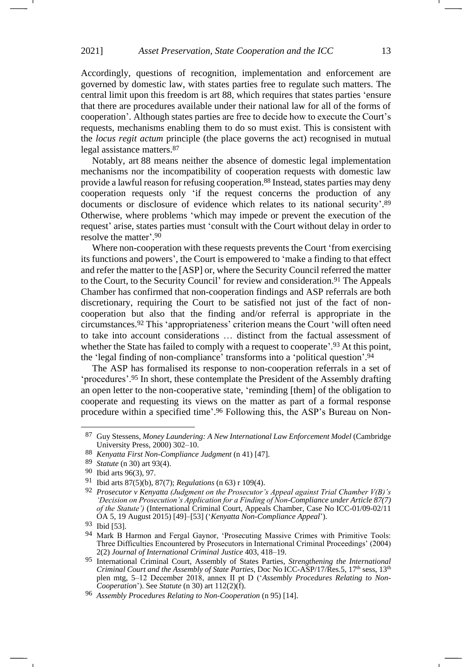Accordingly, questions of recognition, implementation and enforcement are governed by domestic law, with states parties free to regulate such matters. The central limit upon this freedom is art 88, which requires that states parties 'ensure that there are procedures available under their national law for all of the forms of cooperation'. Although states parties are free to decide how to execute the Court's requests, mechanisms enabling them to do so must exist. This is consistent with the *locus regit actum* principle (the place governs the act) recognised in mutual legal assistance matters.<sup>87</sup>

Notably, art 88 means neither the absence of domestic legal implementation mechanisms nor the incompatibility of cooperation requests with domestic law provide a lawful reason for refusing cooperation.<sup>88</sup> Instead, states parties may deny cooperation requests only 'if the request concerns the production of any documents or disclosure of evidence which relates to its national security'. 89 Otherwise, where problems 'which may impede or prevent the execution of the request' arise, states parties must 'consult with the Court without delay in order to resolve the matter'. 90

Where non-cooperation with these requests prevents the Court 'from exercising its functions and powers', the Court is empowered to 'make a finding to that effect and refer the matter to the [ASP] or, where the Security Council referred the matter to the Court, to the Security Council' for review and consideration.<sup>91</sup> The Appeals Chamber has confirmed that non-cooperation findings and ASP referrals are both discretionary, requiring the Court to be satisfied not just of the fact of noncooperation but also that the finding and/or referral is appropriate in the circumstances. <sup>92</sup> This 'appropriateness' criterion means the Court 'will often need to take into account considerations … distinct from the factual assessment of whether the State has failed to comply with a request to cooperate'.<sup>93</sup> At this point, the 'legal finding of non-compliance' transforms into a 'political question'. 94

<span id="page-12-1"></span><span id="page-12-0"></span>The ASP has formalised its response to non-cooperation referrals in a set of 'procedures'.<sup>95</sup> In short, these contemplate the President of the Assembly drafting an open letter to the non-cooperative state, 'reminding [them] of the obligation to cooperate and requesting its views on the matter as part of a formal response procedure within a specified time'. <sup>96</sup> Following this, the ASP's Bureau on Non-

<sup>87</sup> Guy Stessens, *Money Laundering: A New International Law Enforcement Model* (Cambridge University Press, 2000) 302–10.

<sup>88</sup> *Kenyatta First Non-Compliance Judgment* (n [41\)](#page-7-0) [47].

<sup>89</sup> *Statute* (n [30\)](#page-6-1) art 93(4).

<sup>90</sup> Ibid arts 96(3), 97.

<sup>91</sup> Ibid arts 87(5)(b), 87(7); *Regulations* (n [63\)](#page-10-0) r 109(4).

<sup>92</sup> *Prosecutor v Kenyatta (Judgment on the Prosecutor's Appeal against Trial Chamber V(B)'s 'Decision on Prosecution's Application for a Finding of Non-Compliance under Article 87(7) of the Statute'*) (International Criminal Court, Appeals Chamber, Case No ICC-01/09-02/11 OA 5, 19 August 2015) [49]–[53] ('*Kenyatta Non-Compliance Appeal*').

<sup>93</sup> Ibid [53].

<sup>94</sup> Mark B Harmon and Fergal Gaynor, 'Prosecuting Massive Crimes with Primitive Tools: Three Difficulties Encountered by Prosecutors in International Criminal Proceedings' (2004) 2(2) *Journal of International Criminal Justice* 403, 418–19.

<sup>95</sup> International Criminal Court, Assembly of States Parties, *Strengthening the International Criminal Court and the Assembly of State Parties*, Doc No ICC-ASP/17/Res.5, 17<sup>th</sup> sess, 13<sup>th</sup> plen mtg, 5–12 December 2018, annex II pt D ('*Assembly Procedures Relating to Non-Cooperation*'). See *Statute* (n [30\)](#page-6-1) art 112(2)(f).

<sup>96</sup> *Assembly Procedures Relating to Non-Cooperation* (n [95\)](#page-12-0) [14].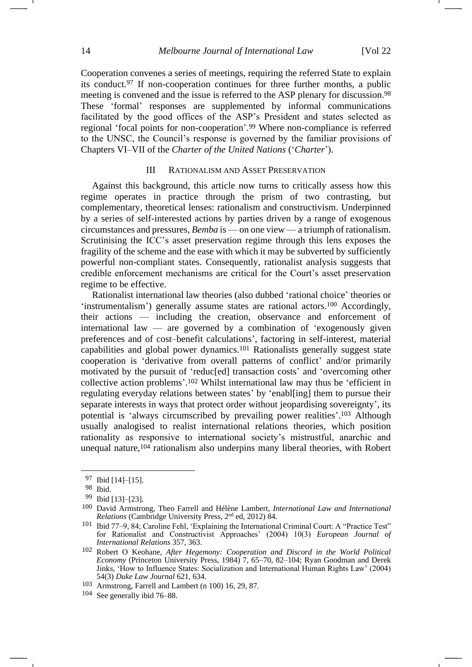Cooperation convenes a series of meetings, requiring the referred State to explain its conduct.<sup>97</sup> If non-cooperation continues for three further months, a public meeting is convened and the issue is referred to the ASP plenary for discussion.<sup>98</sup> These 'formal' responses are supplemented by informal communications facilitated by the good offices of the ASP's President and states selected as regional 'focal points for non-cooperation'. <sup>99</sup> Where non-compliance is referred to the UNSC, the Council's response is governed by the familiar provisions of Chapters VI–VII of the *Charter of the United Nations* ('*Charter*').

## <span id="page-13-0"></span>III RATIONALISM AND ASSET PRESERVATION

Against this background, this article now turns to critically assess how this regime operates in practice through the prism of two contrasting, but complementary, theoretical lenses: rationalism and constructivism. Underpinned by a series of self-interested actions by parties driven by a range of exogenous circumstances and pressures, *Bemba* is — on one view — a triumph of rationalism. Scrutinising the ICC's asset preservation regime through this lens exposes the fragility of the scheme and the ease with which it may be subverted by sufficiently powerful non-compliant states. Consequently, rationalist analysis suggests that credible enforcement mechanisms are critical for the Court's asset preservation regime to be effective.

<span id="page-13-2"></span><span id="page-13-1"></span>Rationalist international law theories (also dubbed 'rational choice' theories or 'instrumentalism') generally assume states are rational actors.<sup>100</sup> Accordingly, their actions — including the creation, observance and enforcement of international law — are governed by a combination of 'exogenously given preferences and of cost–benefit calculations', factoring in self-interest, material capabilities and global power dynamics.<sup>101</sup> Rationalists generally suggest state cooperation is 'derivative from overall patterns of conflict' and/or primarily motivated by the pursuit of 'reduc[ed] transaction costs' and 'overcoming other collective action problems'. <sup>102</sup> Whilst international law may thus be 'efficient in regulating everyday relations between states' by 'enabl[ing] them to pursue their separate interests in ways that protect order without jeopardising sovereignty', its potential is 'always circumscribed by prevailing power realities'. <sup>103</sup> Although usually analogised to realist international relations theories, which position rationality as responsive to international society's mistrustful, anarchic and unequal nature,  $104$  rationalism also underpins many liberal theories, with Robert

<sup>97</sup> Ibid [14]–[15].

<sup>98</sup> Ibid.

<sup>99</sup> Ibid [13]–[23].

<sup>100</sup> David Armstrong, Theo Farrell and Hélène Lambert, *International Law and International Relations* (Cambridge University Press, 2nd ed, 2012) 84.

<sup>101</sup> Ibid 77–9, 84; Caroline Fehl, 'Explaining the International Criminal Court: A "Practice Test" for Rationalist and Constructivist Approaches' (2004) 10(3) *European Journal of International Relations* 357, 363.

<sup>102</sup> Robert O Keohane, *After Hegemony: Cooperation and Discord in the World Political Economy* (Princeton University Press, 1984) 7, 65–70, 82–104; Ryan Goodman and Derek Jinks, 'How to Influence States: Socialization and International Human Rights Law' (2004) 54(3) *Duke Law Journal* 621, 634.

<sup>103</sup> Armstrong, Farrell and Lambert (n [100\)](#page-13-0) 16, 29, 87.

<sup>104</sup> See generally ibid 76–88.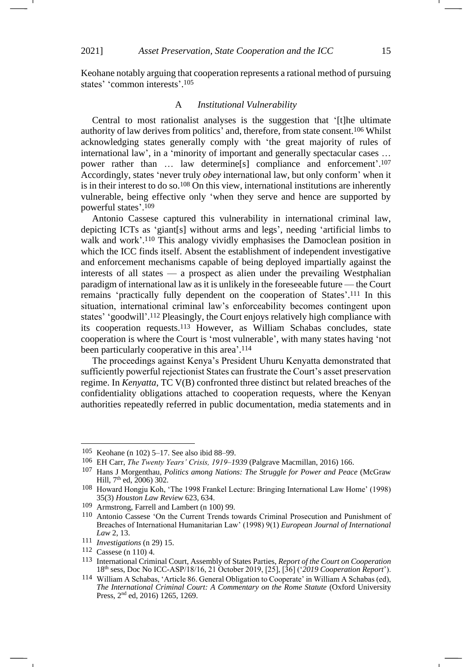Keohane notably arguing that cooperation represents a rational method of pursuing states' 'common interests'. 105

#### <span id="page-14-1"></span>A *Institutional Vulnerability*

Central to most rationalist analyses is the suggestion that '[t]he ultimate authority of law derives from politics' and, therefore, from state consent.<sup>106</sup> Whilst acknowledging states generally comply with 'the great majority of rules of international law', in a 'minority of important and generally spectacular cases … power rather than … law determine[s] compliance and enforcement'. 107 Accordingly, states 'never truly *obey* international law, but only conform' when it is in their interest to do so.<sup>108</sup> On this view, international institutions are inherently vulnerable, being effective only 'when they serve and hence are supported by powerful states'. 109

<span id="page-14-0"></span>Antonio Cassese captured this vulnerability in international criminal law, depicting ICTs as 'giant[s] without arms and legs', needing 'artificial limbs to walk and work'.<sup>110</sup> This analogy vividly emphasises the Damoclean position in which the ICC finds itself. Absent the establishment of independent investigative and enforcement mechanisms capable of being deployed impartially against the interests of all states — a prospect as alien under the prevailing Westphalian paradigm of international law as it is unlikely in the foreseeable future — the Court remains 'practically fully dependent on the cooperation of States'. <sup>111</sup> In this situation, international criminal law's enforceability becomes contingent upon states' 'goodwill'. <sup>112</sup> Pleasingly, the Court enjoys relatively high compliance with its cooperation requests.<sup>113</sup> However, as William Schabas concludes, state cooperation is where the Court is 'most vulnerable', with many states having 'not been particularly cooperative in this area'. 114

<span id="page-14-2"></span>The proceedings against Kenya's President Uhuru Kenyatta demonstrated that sufficiently powerful rejectionist States can frustrate the Court's asset preservation regime. In *Kenyatta*, TC V(B) confronted three distinct but related breaches of the confidentiality obligations attached to cooperation requests, where the Kenyan authorities repeatedly referred in public documentation, media statements and in

<sup>105</sup> Keohane (n [102\)](#page-13-1) 5–17. See also ibid 88–99.

<sup>106</sup> EH Carr, *The Twenty Years' Crisis, 1919*–*1939* (Palgrave Macmillan, 2016) 166.

<sup>107</sup> Hans J Morgenthau, *Politics among Nations: The Struggle for Power and Peace* (McGraw Hill, 7<sup>th</sup> ed, 2006) 302.

<sup>108</sup> Howard Hongju Koh, 'The 1998 Frankel Lecture: Bringing International Law Home' (1998) 35(3) *Houston Law Review* 623, 634.

<sup>109</sup> Armstrong, Farrell and Lambert (n [100\)](#page-13-0) 99.

<sup>110</sup> Antonio Cassese 'On the Current Trends towards Criminal Prosecution and Punishment of Breaches of International Humanitarian Law' (1998) 9(1) *European Journal of International Law* 2, 13.

<sup>111</sup> *Investigations* (n [29\)](#page-5-0) 15.

<sup>112</sup> Cassese (n [110\)](#page-14-0) 4.

<sup>113</sup> International Criminal Court, Assembly of States Parties, *Report of the Court on Cooperation* 18th sess, Doc No ICC-ASP/18/16, 21 October 2019, [25], [36] ('*2019 Cooperation Report*').

<sup>114</sup> William A Schabas, 'Article 86. General Obligation to Cooperate' in William A Schabas (ed), *The International Criminal Court: A Commentary on the Rome Statute* (Oxford University Press, 2nd ed, 2016) 1265, 1269.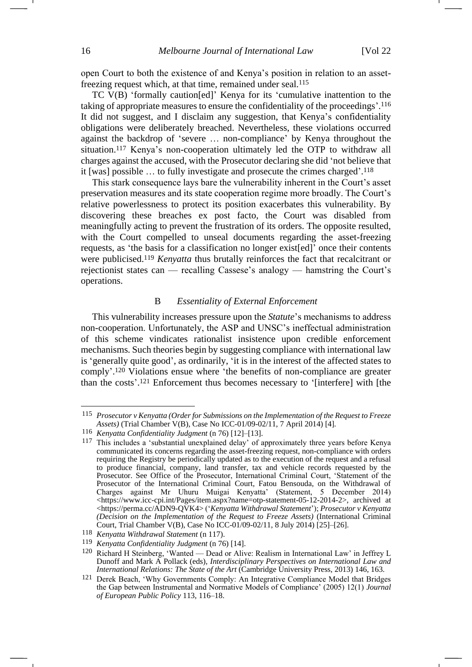open Court to both the existence of and Kenya's position in relation to an assetfreezing request which, at that time, remained under seal.<sup>115</sup>

TC V(B) 'formally caution[ed]' Kenya for its 'cumulative inattention to the taking of appropriate measures to ensure the confidentiality of the proceedings'. 116 It did not suggest, and I disclaim any suggestion, that Kenya's confidentiality obligations were deliberately breached. Nevertheless, these violations occurred against the backdrop of 'severe … non-compliance' by Kenya throughout the situation.<sup>117</sup> Kenya's non-cooperation ultimately led the OTP to withdraw all charges against the accused, with the Prosecutor declaring she did 'not believe that it [was] possible … to fully investigate and prosecute the crimes charged'. 118

<span id="page-15-0"></span>This stark consequence lays bare the vulnerability inherent in the Court's asset preservation measures and its state cooperation regime more broadly. The Court's relative powerlessness to protect its position exacerbates this vulnerability. By discovering these breaches ex post facto*,* the Court was disabled from meaningfully acting to prevent the frustration of its orders. The opposite resulted, with the Court compelled to unseal documents regarding the asset-freezing requests, as 'the basis for a classification no longer exist[ed]' once their contents were publicised.<sup>119</sup> *Kenyatta* thus brutally reinforces the fact that recalcitrant or rejectionist states can — recalling Cassese's analogy — hamstring the Court's operations.

# B *Essentiality of External Enforcement*

This vulnerability increases pressure upon the *Statute*'s mechanisms to address non-cooperation. Unfortunately, the ASP and UNSC's ineffectual administration of this scheme vindicates rationalist insistence upon credible enforcement mechanisms. Such theories begin by suggesting compliance with international law is 'generally quite good', as ordinarily, 'it is in the interest of the affected states to comply'. <sup>120</sup> Violations ensue where 'the benefits of non-compliance are greater than the costs'. <sup>121</sup> Enforcement thus becomes necessary to '[interfere] with [the

<span id="page-15-1"></span><sup>115</sup> *Prosecutor v Kenyatta (Order for Submissions on the Implementation of the Request to Freeze Assets)* (Trial Chamber V(B), Case No ICC-01/09-02/11, 7 April 2014) [4]*.*

<sup>116</sup> *Kenyatta Confidentiality Judgment* (n [76\)](#page-11-0) [12]–[13].

<sup>117</sup> This includes a 'substantial unexplained delay' of approximately three years before Kenya communicated its concerns regarding the asset-freezing request, non-compliance with orders requiring the Registry be periodically updated as to the execution of the request and a refusal to produce financial, company, land transfer, tax and vehicle records requested by the Prosecutor. See Office of the Prosecutor, International Criminal Court, 'Statement of the Prosecutor of the International Criminal Court, Fatou Bensouda, on the Withdrawal of Charges against Mr Uhuru Muigai Kenyatta' (Statement, 5 December 2014) [<https://www.icc-cpi.int/Pages/item.aspx?name=otp-statement-05-12-2014-2>](https://www.icc-cpi.int/Pages/item.aspx?name=otp-statement-05-12-2014-2), archived at <https://perma.cc/ADN9-QVK4> ('*Kenyatta Withdrawal Statement*'); *Prosecutor v Kenyatta (Decision on the Implementation of the Request to Freeze Assets)* (International Criminal Court, Trial Chamber V(B), Case No ICC-01/09-02/11, 8 July 2014) [25]–[26].

<sup>118</sup> *Kenyatta Withdrawal Statement* (n [117\)](#page-15-0).

<sup>119</sup> *Kenyatta Confidentiality Judgment* (n [76\)](#page-11-0) [14].

Richard H Steinberg, 'Wanted — Dead or Alive: Realism in International Law' in Jeffrey L Dunoff and Mark A Pollack (eds), *Interdisciplinary Perspectives on International Law and International Relations: The State of the Art* (Cambridge University Press, 2013) 146, 163.

<sup>121</sup> Derek Beach, 'Why Governments Comply: An Integrative Compliance Model that Bridges the Gap between Instrumental and Normative Models of Compliance' (2005) 12(1) *Journal of European Public Policy* 113, 116–18.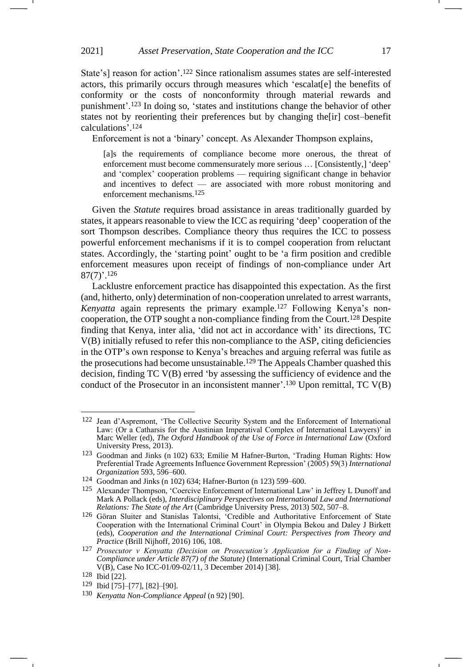<span id="page-16-2"></span>State's] reason for action'. <sup>122</sup> Since rationalism assumes states are self-interested actors, this primarily occurs through measures which 'escalat[e] the benefits of conformity or the costs of nonconformity through material rewards and punishment'. <sup>123</sup> In doing so, 'states and institutions change the behavior of other states not by reorienting their preferences but by changing the[ir] cost–benefit calculations'. 124

<span id="page-16-0"></span>Enforcement is not a 'binary' concept. As Alexander Thompson explains,

[a]s the requirements of compliance become more onerous, the threat of enforcement must become commensurately more serious … [Consistently,] 'deep' and 'complex' cooperation problems — requiring significant change in behavior and incentives to defect — are associated with more robust monitoring and enforcement mechanisms.125

Given the *Statute* requires broad assistance in areas traditionally guarded by states, it appears reasonable to view the ICC as requiring 'deep' cooperation of the sort Thompson describes. Compliance theory thus requires the ICC to possess powerful enforcement mechanisms if it is to compel cooperation from reluctant states. Accordingly, the 'starting point' ought to be 'a firm position and credible enforcement measures upon receipt of findings of non-compliance under Art  $87(7)$ '.<sup>126</sup>

<span id="page-16-1"></span>Lacklustre enforcement practice has disappointed this expectation. As the first (and, hitherto, only) determination of non-cooperation unrelated to arrest warrants, *Kenyatta* again represents the primary example.<sup>127</sup> Following Kenya's noncooperation, the OTP sought a non-compliance finding from the Court.<sup>128</sup> Despite finding that Kenya, inter alia, 'did not act in accordance with' its directions, TC V(B) initially refused to refer this non-compliance to the ASP, citing deficiencies in the OTP's own response to Kenya's breaches and arguing referral was futile as the prosecutions had become unsustainable.<sup>129</sup> The Appeals Chamber quashed this decision, finding TC V(B) erred 'by assessing the sufficiency of evidence and the conduct of the Prosecutor in an inconsistent manner'.<sup>130</sup> Upon remittal, TC V(B)

<sup>122</sup> Jean d'Aspremont, 'The Collective Security System and the Enforcement of International Law: (Or a Catharsis for the Austinian Imperatival Complex of International Lawyers)' in Marc Weller (ed), *The Oxford Handbook of the Use of Force in International Law* (Oxford University Press, 2013).

<sup>123</sup> Goodman and Jinks (n [102\)](#page-13-1) 633; Emilie M Hafner-Burton, 'Trading Human Rights: How Preferential Trade Agreements Influence Government Repression' (2005) 59(3) *International Organization* 593, 596–600.

<sup>124</sup> Goodman and Jinks ([n 102\)](#page-13-1) 634; Hafner-Burton (n [123\)](#page-16-0) 599–600.

<sup>125</sup> Alexander Thompson, 'Coercive Enforcement of International Law' in Jeffrey L Dunoff and Mark A Pollack (eds), *Interdisciplinary Perspectives on International Law and International Relations: The State of the Art* (Cambridge University Press, 2013) 502, 507–8.

<sup>126</sup> Göran Sluiter and Stanislas Talontsi, 'Credible and Authoritative Enforcement of State Cooperation with the International Criminal Court' in Olympia Bekou and Daley J Birkett (eds), *Cooperation and the International Criminal Court: Perspectives from Theory and Practice* (Brill Nijhoff, 2016) 106, 108.

<sup>127</sup> *Prosecutor v Kenyatta (Decision on Prosecution's Application for a Finding of Non-Compliance under Article 87(7) of the Statute)* (International Criminal Court, Trial Chamber V(B), Case No ICC-01/09-02/11, 3 December 2014) [38].

<sup>128</sup> Ibid [22].

<sup>129</sup> Ibid [75]–[77], [82]–[90].

<sup>130</sup> *Kenyatta Non-Compliance Appeal* (n [92\)](#page-12-1) [90].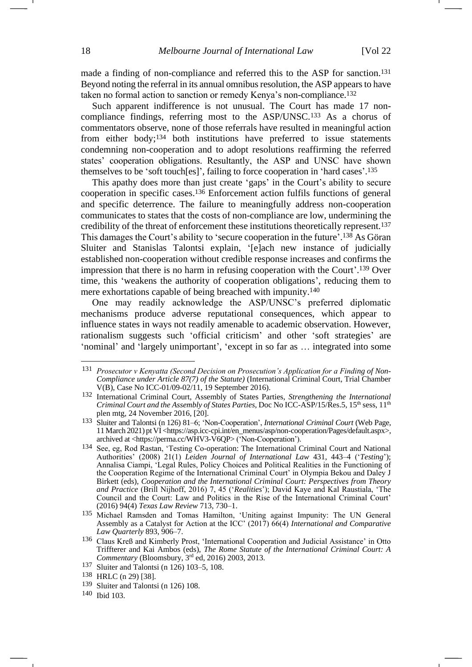made a finding of non-compliance and referred this to the ASP for sanction.<sup>131</sup> Beyond noting the referral in its annual omnibus resolution, the ASP appears to have taken no formal action to sanction or remedy Kenya's non-compliance.<sup>132</sup>

<span id="page-17-1"></span><span id="page-17-0"></span>Such apparent indifference is not unusual. The Court has made 17 noncompliance findings, referring most to the ASP/UNSC.<sup>133</sup> As a chorus of commentators observe, none of those referrals have resulted in meaningful action from either body;<sup>134</sup> both institutions have preferred to issue statements condemning non-cooperation and to adopt resolutions reaffirming the referred states' cooperation obligations. Resultantly, the ASP and UNSC have shown themselves to be 'soft touch[es]', failing to force cooperation in 'hard cases'. 135

<span id="page-17-3"></span><span id="page-17-2"></span>This apathy does more than just create 'gaps' in the Court's ability to secure cooperation in specific cases.<sup>136</sup> Enforcement action fulfils functions of general and specific deterrence. The failure to meaningfully address non-cooperation communicates to states that the costs of non-compliance are low, undermining the credibility of the threat of enforcement these institutions theoretically represent.<sup>137</sup> This damages the Court's ability to 'secure cooperation in the future'. <sup>138</sup> As Göran Sluiter and Stanislas Talontsi explain, '[e]ach new instance of judicially established non-cooperation without credible response increases and confirms the impression that there is no harm in refusing cooperation with the Court'. <sup>139</sup> Over time, this 'weakens the authority of cooperation obligations', reducing them to mere exhortations capable of being breached with impunity.<sup>140</sup>

One may readily acknowledge the ASP/UNSC's preferred diplomatic mechanisms produce adverse reputational consequences, which appear to influence states in ways not readily amenable to academic observation. However, rationalism suggests such 'official criticism' and other 'soft strategies' are 'nominal' and 'largely unimportant', 'except in so far as … integrated into some

<sup>131</sup> *Prosecutor v Kenyatta (Second Decision on Prosecution's Application for a Finding of Non-Compliance under Article 87(7) of the Statute)* (International Criminal Court, Trial Chamber V(B), Case No ICC-01/09-02/11, 19 September 2016).

<sup>132</sup> International Criminal Court, Assembly of States Parties, *Strengthening the International Criminal Court and the Assembly of States Parties, Doc No ICC-ASP/15/Res.5, 15<sup>th</sup> sess, 11<sup>th</sup>* plen mtg, 24 November 2016,  $\overline{201}$ .

<sup>133</sup> Sluiter and Talontsi (n [126\)](#page-16-1) 81–6; 'Non-Cooperation', *International Criminal Court* (Web Page, 11 March 2021) pt VI [<https://asp.icc-cpi.int/en\\_menus/asp/non-cooperation/Pages/default.aspx>](https://asp.icc-cpi.int/en_menus/asp/non-cooperation/Pages/default.aspx), archived at <https://perma.cc/WHV3-V6QP> ('Non-Cooperation').

<sup>134</sup> See, eg, Rod Rastan, 'Testing Co-operation: The International Criminal Court and National Authorities' (2008) 21(1) *Leiden Journal of International Law* 431, 443–4 ('*Testing*'); Annalisa Ciampi, 'Legal Rules, Policy Choices and Political Realities in the Functioning of the Cooperation Regime of the International Criminal Court' in Olympia Bekou and Daley J Birkett (eds), *Cooperation and the International Criminal Court: Perspectives from Theory and Practice* (Brill Nijhoff, 2016) 7, 45 ('*Realities*'); David Kaye and Kal Raustiala, 'The Council and the Court: Law and Politics in the Rise of the International Criminal Court' (2016) 94(4) *Texas Law Review* 713, 730–1.

<sup>135</sup> Michael Ramsden and Tomas Hamilton, 'Uniting against Impunity: The UN General Assembly as a Catalyst for Action at the ICC' (2017) 66(4) *International and Comparative Law Quarterly* 893, 906–7.

<sup>136</sup> Claus Kreß and Kimberly Prost, 'International Cooperation and Judicial Assistance' in Otto Triffterer and Kai Ambos (eds), *The Rome Statute of the International Criminal Court: A Commentary* (Bloomsbury, 3rd ed, 2016) 2003, 2013.

<sup>137</sup> Sluiter and Talontsi (n [126\)](#page-16-1) 103–5, 108.

<sup>138</sup> HRLC (n [29\)](#page-5-0) [38].

<sup>139</sup> Sluiter and Talontsi (n [126\)](#page-16-1) 108.

<sup>140</sup> Ibid 103.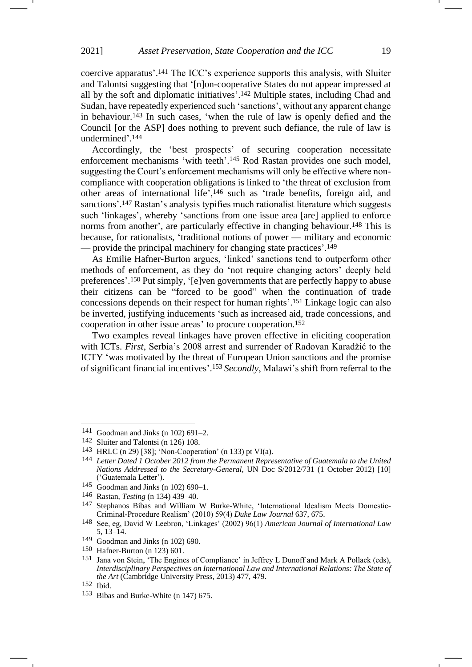coercive apparatus'. <sup>141</sup> The ICC's experience supports this analysis, with Sluiter and Talontsi suggesting that '[n]on-cooperative States do not appear impressed at all by the soft and diplomatic initiatives'. <sup>142</sup> Multiple states, including Chad and Sudan, have repeatedly experienced such 'sanctions', without any apparent change in behaviour.<sup>143</sup> In such cases, 'when the rule of law is openly defied and the Council [or the ASP] does nothing to prevent such defiance, the rule of law is undermined'. 144

<span id="page-18-1"></span><span id="page-18-0"></span>Accordingly, the 'best prospects' of securing cooperation necessitate enforcement mechanisms 'with teeth'. <sup>145</sup> Rod Rastan provides one such model, suggesting the Court's enforcement mechanisms will only be effective where noncompliance with cooperation obligations is linked to 'the threat of exclusion from other areas of international life', <sup>146</sup> such as 'trade benefits, foreign aid, and sanctions'.<sup>147</sup> Rastan's analysis typifies much rationalist literature which suggests such 'linkages', whereby 'sanctions from one issue area [are] applied to enforce norms from another', are particularly effective in changing behaviour.<sup>148</sup> This is because, for rationalists, 'traditional notions of power — military and economic — provide the principal machinery for changing state practices'. 149

As Emilie Hafner-Burton argues, 'linked' sanctions tend to outperform other methods of enforcement, as they do 'not require changing actors' deeply held preferences'. <sup>150</sup> Put simply, '[e]ven governments that are perfectly happy to abuse their citizens can be "forced to be good" when the continuation of trade concessions depends on their respect for human rights'. <sup>151</sup> Linkage logic can also be inverted, justifying inducements 'such as increased aid, trade concessions, and cooperation in other issue areas' to procure cooperation.<sup>152</sup>

<span id="page-18-2"></span>Two examples reveal linkages have proven effective in eliciting cooperation with ICTs. *First*, Serbia's 2008 arrest and surrender of Radovan Karadžić to the ICTY 'was motivated by the threat of European Union sanctions and the promise of significant financial incentives'. <sup>153</sup> *Secondly*, Malawi's shift from referral to the

 $141$  Goodman and Jinks ([n 102\)](#page-13-1) 691–2.

<sup>142</sup> Sluiter and Talontsi (n [126\)](#page-16-1) 108.

<sup>143</sup> HRLC (n [29\)](#page-5-0) [38]; 'Non-Cooperation' ([n 133\)](#page-17-0) pt VI(a).

<sup>144</sup> *Letter Dated 1 October 2012 from the Permanent Representative of Guatemala to the United Nations Addressed to the Secretary-General*, UN Doc S/2012/731 (1 October 2012) [10] ('Guatemala Letter').

<sup>145</sup> Goodman and Jinks ([n 102\)](#page-13-1) 690–1.

<sup>146</sup> Rastan, *Testing* (n [134\)](#page-17-1) 439–40.

<sup>147</sup> Stephanos Bibas and William W Burke-White, 'International Idealism Meets Domestic-Criminal-Procedure Realism' (2010) 59(4) *Duke Law Journal* 637, 675.

<sup>148</sup> See, eg, David W Leebron, 'Linkages' (2002) 96(1) *American Journal of International Law*  5, 13–14.

<sup>149</sup> Goodman and Jinks ([n 102\)](#page-13-1) 690.

<sup>150</sup> Hafner-Burton (n [123\)](#page-16-0) 601.

<sup>151</sup> Jana von Stein, 'The Engines of Compliance' in Jeffrey L Dunoff and Mark A Pollack (eds), *Interdisciplinary Perspectives on International Law and International Relations: The State of the Art* (Cambridge University Press, 2013) 477, 479.

<sup>152</sup> Ibid.

<sup>153</sup> Bibas and Burke-White ([n 147\)](#page-18-0) 675.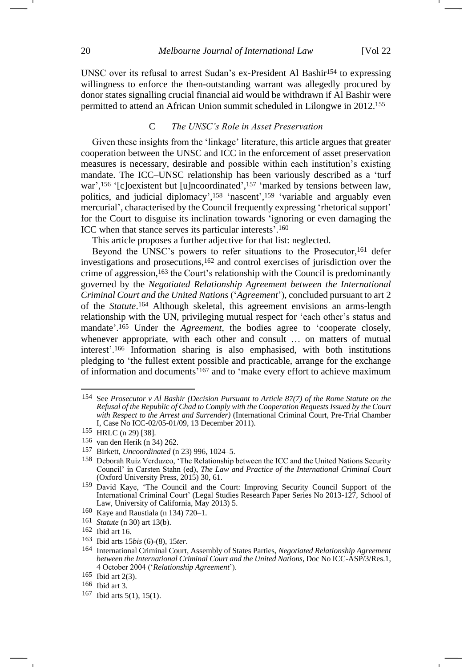UNSC over its refusal to arrest Sudan's ex-President Al Bashir<sup>154</sup> to expressing willingness to enforce the then-outstanding warrant was allegedly procured by donor states signalling crucial financial aid would be withdrawn if Al Bashir were permitted to attend an African Union summit scheduled in Lilongwe in 2012.<sup>155</sup>

# <span id="page-19-2"></span><span id="page-19-0"></span>C *The UNSC's Role in Asset Preservation*

Given these insights from the 'linkage' literature, this article argues that greater cooperation between the UNSC and ICC in the enforcement of asset preservation measures is necessary, desirable and possible within each institution's existing mandate. The ICC–UNSC relationship has been variously described as a 'turf war',<sup>156</sup> '[c]oexistent but [u]ncoordinated',<sup>157</sup> 'marked by tensions between law, politics, and judicial diplomacy', <sup>158</sup> 'nascent', <sup>159</sup> 'variable and arguably even mercurial', characterised by the Council frequently expressing 'rhetorical support' for the Court to disguise its inclination towards 'ignoring or even damaging the ICC when that stance serves its particular interests'. 160

<span id="page-19-1"></span>This article proposes a further adjective for that list: neglected.

Beyond the UNSC's powers to refer situations to the Prosecutor,<sup>161</sup> defer investigations and prosecutions,<sup>162</sup> and control exercises of jurisdiction over the crime of aggression,<sup>163</sup> the Court's relationship with the Council is predominantly governed by the *Negotiated Relationship Agreement between the International Criminal Court and the United Nations* ('*Agreement*'), concluded pursuant to art 2 of the *Statute*. <sup>164</sup> Although skeletal, this agreement envisions an arms-length relationship with the UN, privileging mutual respect for 'each other's status and mandate'. <sup>165</sup> Under the *Agreement*, the bodies agree to 'cooperate closely, whenever appropriate, with each other and consult … on matters of mutual interest'. <sup>166</sup> Information sharing is also emphasised, with both institutions pledging to 'the fullest extent possible and practicable, arrange for the exchange of information and documents' <sup>167</sup> and to 'make every effort to achieve maximum

<sup>&</sup>lt;sup>154</sup> See *Prosecutor v Al Bashir (Decision Pursuant to Article 87(7) of the Rome Statute on the Refusal of the Republic of Chad to Comply with the Cooperation Requests Issued by the Court*  with Respect to the Arrest and Surrender) (International Criminal Court, Pre-Trial Chamber I, Case No ICC-02/05-01/09, 13 December 2011).

<sup>155</sup> HRLC (n [29\)](#page-5-0) [38].

<sup>156</sup> van den Herik (n [34\)](#page-6-0) 262.

<sup>157</sup> Birkett, *Uncoordinated* ([n 23\)](#page-3-2) 996, 1024–5.

<sup>158</sup> Deborah Ruiz Verduzco, 'The Relationship between the ICC and the United Nations Security Council' in Carsten Stahn (ed), *The Law and Practice of the International Criminal Court*  (Oxford University Press, 2015) 30, 61.

<sup>159</sup> David Kaye, 'The Council and the Court: Improving Security Council Support of the International Criminal Court' (Legal Studies Research Paper Series No 2013-127, School of Law, University of California, May 2013) 5.

<sup>160</sup> Kaye and Raustiala (n [134\)](#page-17-1) 720–1.

<sup>161</sup> *Statute* (n 30) art 13(b).

<sup>162</sup> Ibid art 16.

<sup>163</sup> Ibid arts 15*bis* (6)-(8), 15*ter*.

<sup>164</sup> International Criminal Court, Assembly of States Parties, *Negotiated Relationship Agreement between the International Criminal Court and the United Nations*, Doc No ICC-ASP/3/Res.1, 4 October 2004 ('*Relationship Agreement*').

<sup>165</sup> Ibid art 2(3).

<sup>166</sup> Ibid art 3.

<sup>167</sup> Ibid arts 5(1), 15(1).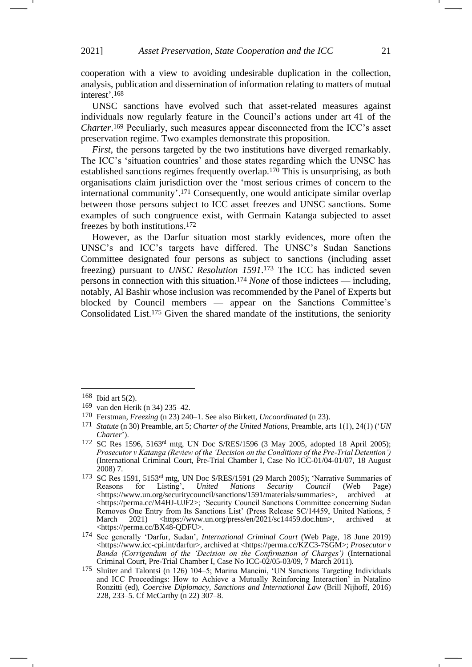cooperation with a view to avoiding undesirable duplication in the collection, analysis, publication and dissemination of information relating to matters of mutual interest'. 168

UNSC sanctions have evolved such that asset-related measures against individuals now regularly feature in the Council's actions under art 41 of the *Charter*. <sup>169</sup> Peculiarly, such measures appear disconnected from the ICC's asset preservation regime. Two examples demonstrate this proposition.

<span id="page-20-0"></span>*First*, the persons targeted by the two institutions have diverged remarkably. The ICC's 'situation countries' and those states regarding which the UNSC has established sanctions regimes frequently overlap.<sup>170</sup> This is unsurprising, as both organisations claim jurisdiction over the 'most serious crimes of concern to the international community'. <sup>171</sup> Consequently, one would anticipate similar overlap between those persons subject to ICC asset freezes and UNSC sanctions. Some examples of such congruence exist, with Germain Katanga subjected to asset freezes by both institutions.<sup>172</sup>

<span id="page-20-1"></span>However, as the Darfur situation most starkly evidences, more often the UNSC's and ICC's targets have differed. The UNSC's Sudan Sanctions Committee designated four persons as subject to sanctions (including asset freezing) pursuant to *UNSC Resolution 1591*. <sup>173</sup> The ICC has indicted seven persons in connection with this situation.<sup>174</sup> *None* of those indictees — including, notably, Al Bashir whose inclusion was recommended by the Panel of Experts but blocked by Council members — appear on the Sanctions Committee's Consolidated List.<sup>175</sup> Given the shared mandate of the institutions, the seniority

<sup>168</sup> Ibid art 5(2).

<sup>169</sup> van den Herik (n [34\)](#page-6-0) 235–42.

<sup>170</sup> Ferstman, *Freezing* (n [23\)](#page-3-2) 240–1. See also Birkett, *Uncoordinated* (n [23\)](#page-3-2).

<sup>171</sup> *Statute* ([n 30\)](#page-6-1) Preamble, art 5; *Charter of the United Nations,* Preamble, arts 1(1), 24(1) ('*UN Charter*').

<sup>172</sup> SC Res 1596, 5163rd mtg, UN Doc S/RES/1596 (3 May 2005, adopted 18 April 2005); *Prosecutor v Katanga (Review of the 'Decision on the Conditions of the Pre-Trial Detention')* (International Criminal Court, Pre-Trial Chamber I, Case No ICC-01/04-01/07, 18 August 2008) 7.

<sup>173</sup> SC Res 1591, 5153rd mtg, UN Doc S/RES/1591 (29 March 2005); 'Narrative Summaries of Reasons for Listing', *United Nations Security Council* (Web Page) [<https://www.un.org/securitycouncil/sanctions/1591/materials/summaries>](https://www.un.org/securitycouncil/sanctions/1591/materials/summaries), <https://perma.cc/M4HJ-UJF2>; 'Security Council Sanctions Committee concerning Sudan Removes One Entry from Its Sanctions List' (Press Release SC/14459, United Nations, 5 March 2021) <https://www.un.org/press/en/2021/sc14459.doc.htm>, archived at <https://perma.cc/BX48-QDFU>.

<sup>174</sup> See generally 'Darfur, Sudan', *International Criminal Court* (Web Page, 18 June 2019) <https://www.icc-cpi.int/darfur>, archived at <https://perma.cc/KZC3-7SGM>; *Prosecutor v Banda (Corrigendum of the 'Decision on the Confirmation of Charges')* (International Criminal Court, Pre-Trial Chamber I, Case No ICC-02/05-03/09, 7 March 2011).

<sup>175</sup> Sluiter and Talontsi (n [126\)](#page-16-1) 104–5; Marina Mancini, 'UN Sanctions Targeting Individuals and ICC Proceedings: How to Achieve a Mutually Reinforcing Interaction' in Natalino Ronzitti (ed), *Coercive Diplomacy, Sanctions and International Law* (Brill Nijhoff, 2016) 228, 233–5. Cf McCarthy (n [22\)](#page-3-1) 307–8.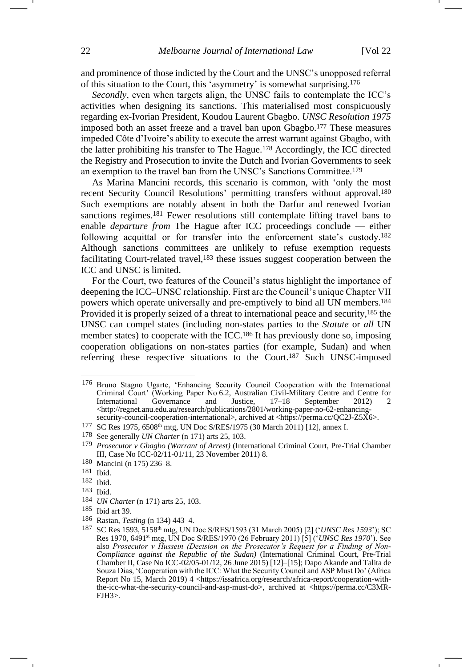and prominence of those indicted by the Court and the UNSC's unopposed referral of this situation to the Court, this 'asymmetry' is somewhat surprising.<sup>176</sup>

*Secondly*, even when targets align, the UNSC fails to contemplate the ICC's activities when designing its sanctions. This materialised most conspicuously regarding ex-Ivorian President, Koudou Laurent Gbagbo. *UNSC Resolution 1975*  imposed both an asset freeze and a travel ban upon Gbagbo.<sup>177</sup> These measures impeded Côte d'Ivoire's ability to execute the arrest warrant against Gbagbo, with the latter prohibiting his transfer to The Hague.<sup>178</sup> Accordingly, the ICC directed the Registry and Prosecution to invite the Dutch and Ivorian Governments to seek an exemption to the travel ban from the UNSC's Sanctions Committee.<sup>179</sup>

As Marina Mancini records, this scenario is common, with 'only the most recent Security Council Resolutions' permitting transfers without approval.<sup>180</sup> Such exemptions are notably absent in both the Darfur and renewed Ivorian sanctions regimes.<sup>181</sup> Fewer resolutions still contemplate lifting travel bans to enable *departure from* The Hague after ICC proceedings conclude — either following acquittal or for transfer into the enforcement state's custody.<sup>182</sup> Although sanctions committees are unlikely to refuse exemption requests facilitating Court-related travel,<sup>183</sup> these issues suggest cooperation between the ICC and UNSC is limited.

For the Court, two features of the Council's status highlight the importance of deepening the ICC–UNSC relationship. First are the Council's unique Chapter VII powers which operate universally and pre-emptively to bind all UN members.<sup>184</sup> Provided it is properly seized of a threat to international peace and security,<sup>185</sup> the UNSC can compel states (including non-states parties to the *Statute* or *all* UN member states) to cooperate with the ICC.<sup>186</sup> It has previously done so, imposing cooperation obligations on non-states parties (for example, Sudan) and when referring these respective situations to the Court.<sup>187</sup> Such UNSC-imposed

182 Ibid.

- 184 *UN Charter* (n [171\)](#page-20-0) arts 25, 103.
- 185 Ibid art 39.
- 186 Rastan, *Testing* (n [134\)](#page-17-1) 443–4.

<span id="page-21-0"></span><sup>176</sup> Bruno Stagno Ugarte, 'Enhancing Security Council Cooperation with the International Criminal Court' (Working Paper No 6.2, Australian Civil-Military Centre and Centre for International Governance and Justice, 17–18 September 2012) 2 <http://regnet.anu.edu.au/research/publications/2801/working-paper-no-62-enhancingsecurity-council-cooperation-international>, archived at <https://perma.cc/QC2J-Z5X6>.

<sup>177</sup> SC Res 1975, 6508th mtg, UN Doc S/RES/1975 (30 March 2011) [12], annex I.

<sup>178</sup> See generally *UN Charter* (n [171\)](#page-20-0) arts 25, 103.

<sup>179</sup> *Prosecutor v Gbagbo (Warrant of Arrest)* (International Criminal Court, Pre-Trial Chamber III, Case No ICC-02/11-01/11, 23 November 2011) 8.

<sup>180</sup> Mancini ([n 175\)](#page-20-1) 236–8.

<sup>181</sup> Ibid.

<sup>183</sup> Ibid.

<sup>187</sup> SC Res 1593, 5158th mtg, UN Doc S/RES/1593 (31 March 2005) [2] ('*UNSC Res 1593*'); SC Res 1970, 6491st mtg, UN Doc S/RES/1970 (26 February 2011) [5] ('*UNSC Res 1970*'). See also *Prosecutor v Hussein (Decision on the Prosecutor's Request for a Finding of Non-Compliance against the Republic of the Sudan)* (International Criminal Court, Pre-Trial Chamber II, Case No ICC-02/05-01/12, 26 June 2015) [12]–[15]; Dapo Akande and Talita de Souza Dias, 'Cooperation with the ICC: What the Security Council and ASP Must Do' (Africa Report No 15, March 2019) 4 <https://issafrica.org/research/africa-report/cooperation-withthe-icc-what-the-security-council-and-asp-must-do>, archived at <https://perma.cc/C3MR-FJH3>.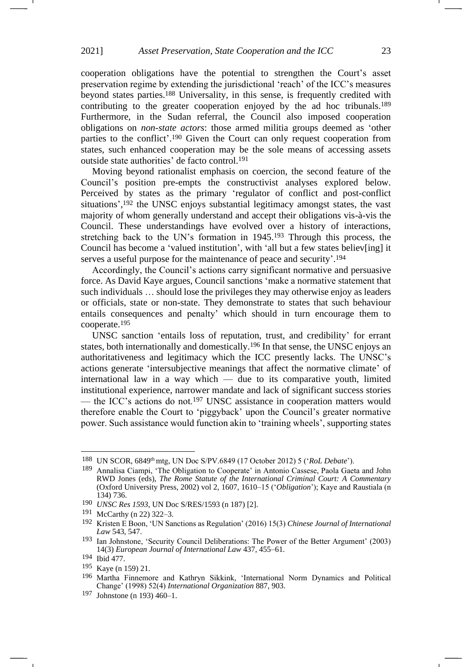<span id="page-22-4"></span><span id="page-22-3"></span>cooperation obligations have the potential to strengthen the Court's asset preservation regime by extending the jurisdictional 'reach' of the ICC's measures beyond states parties. <sup>188</sup> Universality, in this sense, is frequently credited with contributing to the greater cooperation enjoyed by the ad hoc tribunals.<sup>189</sup> Furthermore, in the Sudan referral, the Council also imposed cooperation obligations on *non-state actors*: those armed militia groups deemed as 'other parties to the conflict'. <sup>190</sup> Given the Court can only request cooperation from states, such enhanced cooperation may be the sole means of accessing assets outside state authorities' de facto control.<sup>191</sup>

<span id="page-22-1"></span>Moving beyond rationalist emphasis on coercion, the second feature of the Council's position pre-empts the constructivist analyses explored below. Perceived by states as the primary 'regulator of conflict and post-conflict situations',<sup>192</sup> the UNSC enjoys substantial legitimacy amongst states, the vast majority of whom generally understand and accept their obligations vis-à-vis the Council. These understandings have evolved over a history of interactions, stretching back to the UN's formation in 1945.<sup>193</sup> Through this process, the Council has become a 'valued institution', with 'all but a few states believ[ing] it serves a useful purpose for the maintenance of peace and security'. 194

<span id="page-22-0"></span>Accordingly, the Council's actions carry significant normative and persuasive force. As David Kaye argues, Council sanctions 'make a normative statement that such individuals … should lose the privileges they may otherwise enjoy as leaders or officials, state or non-state. They demonstrate to states that such behaviour entails consequences and penalty' which should in turn encourage them to cooperate.<sup>195</sup>

<span id="page-22-2"></span>UNSC sanction 'entails loss of reputation, trust, and credibility' for errant states, both internationally and domestically.<sup>196</sup> In that sense, the UNSC enjoys an authoritativeness and legitimacy which the ICC presently lacks. The UNSC's actions generate 'intersubjective meanings that affect the normative climate' of international law in a way which — due to its comparative youth, limited institutional experience, narrower mandate and lack of significant success stories — the ICC's actions do not.<sup>197</sup> UNSC assistance in cooperation matters would therefore enable the Court to 'piggyback' upon the Council's greater normative power. Such assistance would function akin to 'training wheels', supporting states

<sup>188</sup> UN SCOR, 6849th mtg, UN Doc S/PV.6849 (17 October 2012) 5 ('*RoL Debate*').

<sup>189</sup> Annalisa Ciampi, 'The Obligation to Cooperate' in Antonio Cassese, Paola Gaeta and John RWD Jones (eds), *The Rome Statute of the International Criminal Court: A Commentary*  (Oxford University Press, 2002) vol 2, 1607, 1610–15 ('*Obligation*'); Kaye and Raustiala (n [134\)](#page-17-1) 736.

<sup>190</sup> *UNSC Res 1593*, UN Doc S/RES/1593 (n [187\)](#page-21-0) [2].

<sup>191</sup> McCarthy (n [22\)](#page-3-1) 322–3.

<sup>192</sup> Kristen E Boon, 'UN Sanctions as Regulation' (2016) 15(3) *Chinese Journal of International Law* 543, 547.

<sup>193</sup> Ian Johnstone, 'Security Council Deliberations: The Power of the Better Argument' (2003) 14(3) *European Journal of International Law* 437, 455–61.

<sup>194</sup> Ibid 477.

<sup>195</sup> Kaye (n [159\)](#page-19-0) 21.

<sup>196</sup> Martha Finnemore and Kathryn Sikkink, 'International Norm Dynamics and Political Change' (1998) 52(4) *International Organization* 887, 903.

<sup>197</sup> Johnstone (n [193\)](#page-22-0) 460–1.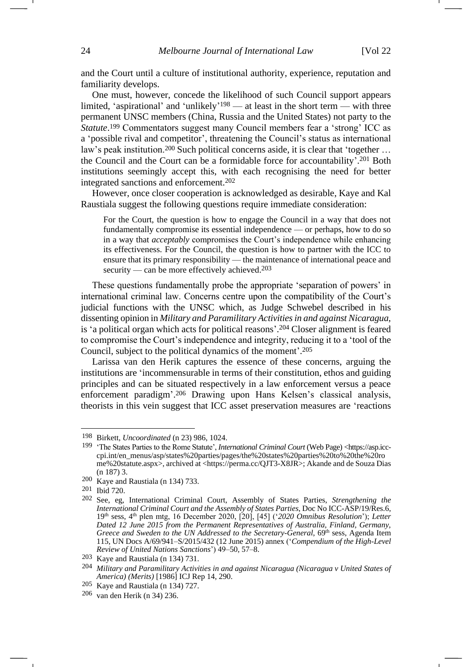and the Court until a culture of institutional authority, experience, reputation and familiarity develops.

One must, however, concede the likelihood of such Council support appears limited, 'aspirational' and 'unlikely' <sup>198</sup> — at least in the short term — with three permanent UNSC members (China, Russia and the United States) not party to the *Statute*. <sup>199</sup> Commentators suggest many Council members fear a 'strong' ICC as a 'possible rival and competitor', threatening the Council's status as international law's peak institution.<sup>200</sup> Such political concerns aside, it is clear that 'together ... the Council and the Court can be a formidable force for accountability'. <sup>201</sup> Both institutions seemingly accept this, with each recognising the need for better integrated sanctions and enforcement.<sup>202</sup>

However, once closer cooperation is acknowledged as desirable, Kaye and Kal Raustiala suggest the following questions require immediate consideration:

<span id="page-23-0"></span>For the Court, the question is how to engage the Council in a way that does not fundamentally compromise its essential independence — or perhaps, how to do so in a way that *acceptably* compromises the Court's independence while enhancing its effectiveness. For the Council, the question is how to partner with the ICC to ensure that its primary responsibility — the maintenance of international peace and security — can be more effectively achieved. $203$ 

These questions fundamentally probe the appropriate 'separation of powers' in international criminal law. Concerns centre upon the compatibility of the Court's judicial functions with the UNSC which, as Judge Schwebel described in his dissenting opinion in *Military and Paramilitary Activities in and against Nicaragua,*  is 'a political organ which acts for political reasons'. <sup>204</sup> Closer alignment is feared to compromise the Court's independence and integrity, reducing it to a 'tool of the Council, subject to the political dynamics of the moment'. 205

Larissa van den Herik captures the essence of these concerns, arguing the institutions are 'incommensurable in terms of their constitution, ethos and guiding principles and can be situated respectively in a law enforcement versus a peace enforcement paradigm'. <sup>206</sup> Drawing upon Hans Kelsen's classical analysis, theorists in this vein suggest that ICC asset preservation measures are 'reactions

<sup>198</sup> Birkett, *Uncoordinated* ([n 23\)](#page-3-2) 986, 1024.

<sup>199</sup> 'The States Parties to the Rome Statute', *International Criminal Court* (Web Page) <https://asp.icccpi.int/en\_menus/asp/states%20parties/pages/the%20states%20parties%20to%20the%20ro me%20statute.aspx>, archived at <https://perma.cc/QJT3-X8JR>; Akande and de Souza Dias ([n 187\)](#page-21-0) 3.

<sup>200</sup> Kaye and Raustiala (n [134\)](#page-17-1) 733.

<sup>201</sup> Ibid 720.

<sup>202</sup> See, eg, International Criminal Court, Assembly of States Parties, *Strengthening the International Criminal Court and the Assembly of States Parties*, Doc No ICC-ASP/19/Res.6, 19th sess, 4th plen mtg, 16 December 2020, [20], [45] ('*2020 Omnibus Resolution*'); *Letter Dated 12 June 2015 from the Permanent Representatives of Australia, Finland, Germany,*  Greece and Sweden to the UN Addressed to the Secretary-General, 69<sup>th</sup> sess, Agenda Item 115, UN Docs A/69/941–S/2015/432 (12 June 2015) annex ('*Compendium of the High-Level Review of United Nations Sanctions*') 49–50, 57–8.

<sup>203</sup> Kaye and Raustiala (n [134\)](#page-17-1) 731.

<sup>204</sup> *Military and Paramilitary Activities in and against Nicaragua (Nicaragua v United States of America) (Merits)* [1986] ICJ Rep 14, 290.

<sup>205</sup> Kaye and Raustiala (n [134\)](#page-17-1) 727.

<sup>206</sup> van den Herik (n [34\)](#page-6-0) 236.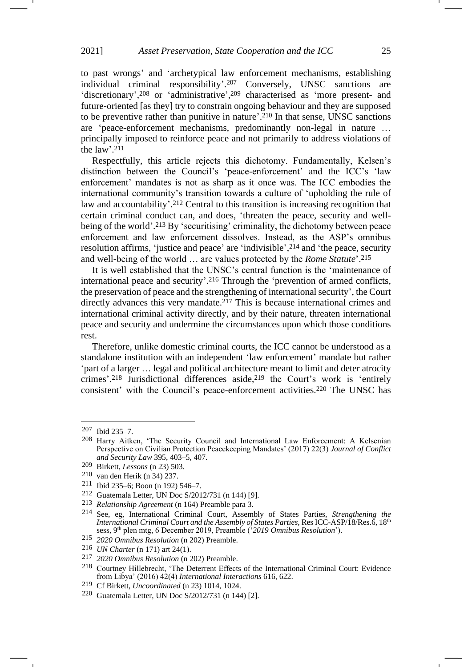to past wrongs' and 'archetypical law enforcement mechanisms, establishing individual criminal responsibility'. <sup>207</sup> Conversely, UNSC sanctions are 'discretionary', <sup>208</sup> or 'administrative', <sup>209</sup> characterised as 'more present- and future-oriented [as they] try to constrain ongoing behaviour and they are supposed to be preventive rather than punitive in nature'. <sup>210</sup> In that sense, UNSC sanctions are 'peace-enforcement mechanisms, predominantly non-legal in nature … principally imposed to reinforce peace and not primarily to address violations of the law'. 211

Respectfully, this article rejects this dichotomy. Fundamentally, Kelsen's distinction between the Council's 'peace-enforcement' and the ICC's 'law enforcement' mandates is not as sharp as it once was. The ICC embodies the international community's transition towards a culture of 'upholding the rule of law and accountability'. <sup>212</sup> Central to this transition is increasing recognition that certain criminal conduct can, and does, 'threaten the peace, security and wellbeing of the world'. <sup>213</sup> By 'securitising' criminality, the dichotomy between peace enforcement and law enforcement dissolves. Instead, as the ASP's omnibus resolution affirms, 'justice and peace' are 'indivisible', <sup>214</sup> and 'the peace, security and well-being of the world … are values protected by the *Rome Statute*'. 215

It is well established that the UNSC's central function is the 'maintenance of international peace and security'. <sup>216</sup> Through the 'prevention of armed conflicts, the preservation of peace and the strengthening of international security', the Court directly advances this very mandate.<sup>217</sup> This is because international crimes and international criminal activity directly, and by their nature, threaten international peace and security and undermine the circumstances upon which those conditions rest.

Therefore, unlike domestic criminal courts, the ICC cannot be understood as a standalone institution with an independent 'law enforcement' mandate but rather 'part of a larger … legal and political architecture meant to limit and deter atrocity crimes'. <sup>218</sup> Jurisdictional differences aside,<sup>219</sup> the Court's work is 'entirely consistent' with the Council's peace-enforcement activities.<sup>220</sup> The UNSC has

<sup>207</sup> Ibid 235–7.

<sup>208</sup> Harry Aitken, 'The Security Council and International Law Enforcement: A Kelsenian Perspective on Civilian Protection Peacekeeping Mandates' (2017) 22(3) *Journal of Conflict and Security Law* 395, 403–5, 407.

<sup>209</sup> Birkett, *Lessons* ([n 23\)](#page-3-2) 503.

<sup>210</sup> van den Herik (n [34\)](#page-6-0) 237.

<sup>211</sup> Ibid 235–6; Boon (n [192\)](#page-22-1) 546–7.

<sup>212</sup> Guatemala Letter, UN Doc S/2012/731 (n [144\)](#page-18-1) [9].

<sup>213</sup> *Relationship Agreement* ([n 164\)](#page-19-1) Preamble para 3.

<sup>214</sup> See, eg, International Criminal Court, Assembly of States Parties, *Strengthening the International Criminal Court and the Assembly of States Parties, Res ICC-ASP/18/Res.6, 18<sup>th</sup>* sess, 9th plen mtg, 6 December 2019, Preamble ('*2019 Omnibus Resolution*').

<sup>215</sup> *2020 Omnibus Resolution* (n [202\)](#page-23-0) Preamble.

<sup>216</sup> *UN Charter* (n [171\)](#page-20-0) art 24(1).

<sup>217</sup> *2020 Omnibus Resolution* (n [202\)](#page-23-0) Preamble.

<sup>218</sup> Courtney Hillebrecht, 'The Deterrent Effects of the International Criminal Court: Evidence from Libya' (2016) 42(4) *International Interactions* 616, 622.

<sup>219</sup> Cf Birkett, *Uncoordinated* (n [23\)](#page-3-2) 1014, 1024.

<sup>220</sup> Guatemala Letter, UN Doc S/2012/731 (n [144\)](#page-18-1) [2].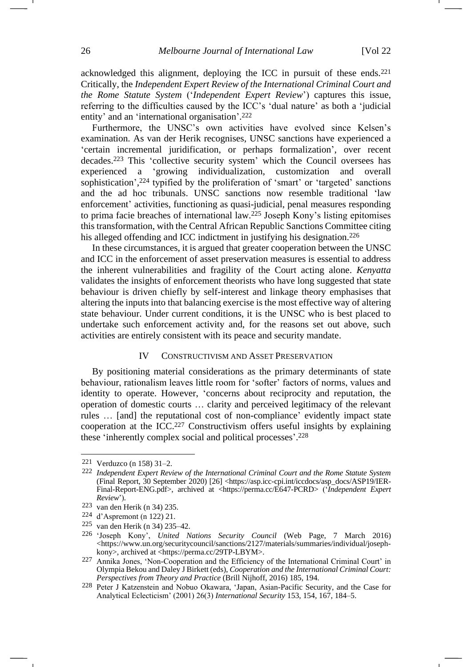acknowledged this alignment, deploying the ICC in pursuit of these ends.<sup>221</sup> Critically, the *Independent Expert Review of the International Criminal Court and the Rome Statute System* ('*Independent Expert Review*') captures this issue, referring to the difficulties caused by the ICC's 'dual nature' as both a 'judicial entity' and an 'international organisation'. 222

<span id="page-25-1"></span>Furthermore, the UNSC's own activities have evolved since Kelsen's examination. As van der Herik recognises, UNSC sanctions have experienced a 'certain incremental juridification, or perhaps formalization', over recent decades.<sup>223</sup> This 'collective security system' which the Council oversees has experienced a 'growing individualization, customization and overall sophistication', <sup>224</sup> typified by the proliferation of 'smart' or 'targeted' sanctions and the ad hoc tribunals. UNSC sanctions now resemble traditional 'law enforcement' activities, functioning as quasi-judicial, penal measures responding to prima facie breaches of international law.<sup>225</sup> Joseph Kony's listing epitomises this transformation, with the Central African Republic Sanctions Committee citing his alleged offending and ICC indictment in justifying his designation.<sup>226</sup>

In these circumstances, it is argued that greater cooperation between the UNSC and ICC in the enforcement of asset preservation measures is essential to address the inherent vulnerabilities and fragility of the Court acting alone. *Kenyatta* validates the insights of enforcement theorists who have long suggested that state behaviour is driven chiefly by self-interest and linkage theory emphasises that altering the inputs into that balancing exercise is the most effective way of altering state behaviour. Under current conditions, it is the UNSC who is best placed to undertake such enforcement activity and, for the reasons set out above, such activities are entirely consistent with its peace and security mandate.

#### <span id="page-25-0"></span>IV CONSTRUCTIVISM AND ASSET PRESERVATION

By positioning material considerations as the primary determinants of state behaviour, rationalism leaves little room for 'softer' factors of norms, values and identity to operate. However, 'concerns about reciprocity and reputation, the operation of domestic courts … clarity and perceived legitimacy of the relevant rules … [and] the reputational cost of non-compliance' evidently impact state cooperation at the ICC.<sup>227</sup> Constructivism offers useful insights by explaining these 'inherently complex social and political processes'. 228

<sup>221</sup> Verduzco (n [158\)](#page-19-2) 31–2.

<sup>222</sup> *Independent Expert Review of the International Criminal Court and the Rome Statute System* (Final Report, 30 September 2020) [26] <https://asp.icc-cpi.int/iccdocs/asp\_docs/ASP19/IER-Final-Report-ENG.pdf>, archived at <https://perma.cc/E647-PCRD> ('*Independent Expert Review*')*.*

<sup>223</sup> van den Herik (n [34\)](#page-6-0) 235.

<sup>224</sup> d'Aspremont (n [122\)](#page-16-2) 21.

<sup>225</sup> van den Herik (n [34\)](#page-6-0) 235–42.

<sup>226</sup> 'Joseph Kony', *United Nations Security Council* (Web Page, 7 March 2016) <https://www.un.org/securitycouncil/sanctions/2127/materials/summaries/individual/josephkony>, archived at <https://perma.cc/29TP-LBYM>.

<sup>227</sup> Annika Jones, 'Non-Cooperation and the Efficiency of the International Criminal Court' in Olympia Bekou and Daley J Birkett (eds), *Cooperation and the International Criminal Court: Perspectives from Theory and Practice* (Brill Nijhoff, 2016) 185, 194.

<sup>228</sup> Peter J Katzenstein and Nobuo Okawara, 'Japan, Asian-Pacific Security, and the Case for Analytical Eclecticism' (2001) 26(3) *International Security* 153, 154, 167, 184–5.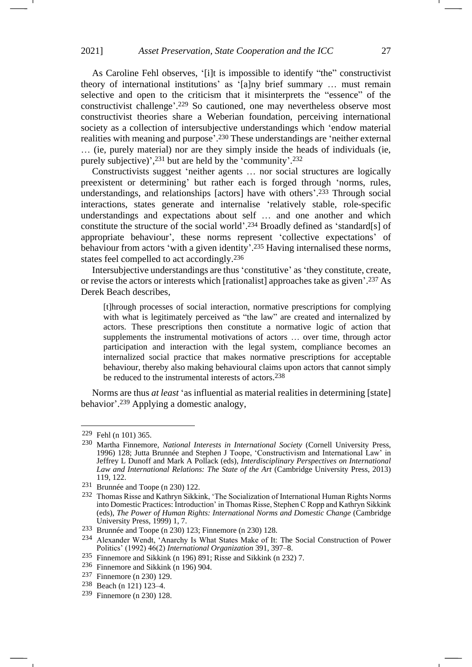As Caroline Fehl observes, '[i]t is impossible to identify "the" constructivist theory of international institutions' as '[a]ny brief summary … must remain selective and open to the criticism that it misinterprets the "essence" of the constructivist challenge'. <sup>229</sup> So cautioned, one may nevertheless observe most constructivist theories share a Weberian foundation, perceiving international society as a collection of intersubjective understandings which 'endow material realities with meaning and purpose'. <sup>230</sup> These understandings are 'neither external … (ie, purely material) nor are they simply inside the heads of individuals (ie, purely subjective)',<sup>231</sup> but are held by the 'community'.<sup>232</sup>

<span id="page-26-1"></span><span id="page-26-0"></span>Constructivists suggest 'neither agents … nor social structures are logically preexistent or determining' but rather each is forged through 'norms, rules, understandings, and relationships [actors] have with others'. <sup>233</sup> Through social interactions, states generate and internalise 'relatively stable, role-specific understandings and expectations about self … and one another and which constitute the structure of the social world'. <sup>234</sup> Broadly defined as 'standard[s] of appropriate behaviour', these norms represent 'collective expectations' of behaviour from actors 'with a given identity'. <sup>235</sup> Having internalised these norms, states feel compelled to act accordingly.<sup>236</sup>

Intersubjective understandings are thus 'constitutive' as 'they constitute, create, or revise the actors or interests which [rationalist] approaches take as given'. <sup>237</sup> As Derek Beach describes,

[t]hrough processes of social interaction, normative prescriptions for complying with what is legitimately perceived as "the law" are created and internalized by actors. These prescriptions then constitute a normative logic of action that supplements the instrumental motivations of actors … over time, through actor participation and interaction with the legal system, compliance becomes an internalized social practice that makes normative prescriptions for acceptable behaviour, thereby also making behavioural claims upon actors that cannot simply be reduced to the instrumental interests of actors.<sup>238</sup>

Norms are thus *at least* 'as influential as material realities in determining [state] behavior'. <sup>239</sup> Applying a domestic analogy,

<sup>229</sup> Fehl (n [101\)](#page-13-2) 365.

<sup>230</sup> Martha Finnemore, *National Interests in International Society* (Cornell University Press, 1996) 128; Jutta Brunnée and Stephen J Toope, 'Constructivism and International Law' in Jeffrey L Dunoff and Mark A Pollack (eds), *Interdisciplinary Perspectives on International Law and International Relations: The State of the Art* (Cambridge University Press, 2013) 119, 122.

<sup>231</sup> Brunnée and Toope (n [230\)](#page-26-0) 122.

<sup>232</sup> Thomas Risse and Kathryn Sikkink, 'The Socialization of International Human Rights Norms into Domestic Practices: Introduction' in Thomas Risse, Stephen C Ropp and Kathryn Sikkink (eds), *The Power of Human Rights: International Norms and Domestic Change* (Cambridge University Press, 1999) 1, 7.

<sup>233</sup> Brunnée and Toope (n [230\)](#page-26-0) 123; Finnemore (n [230\)](#page-26-0) 128.

<sup>234</sup> Alexander Wendt, 'Anarchy Is What States Make of It: The Social Construction of Power Politics' (1992) 46(2) *International Organization* 391, 397–8.

<sup>235</sup> Finnemore and Sikkink (n [196\)](#page-22-2) 891; Risse and Sikkink (n [232\)](#page-26-1) 7.

<sup>236</sup> Finnemore and Sikkink (n [196\)](#page-22-2) 904.

<sup>237</sup> Finnemore ([n 230\)](#page-26-0) 129.

<sup>238</sup> Beach (n [121\)](#page-15-1) 123–4.

<sup>239</sup> Finnemore ([n 230\)](#page-26-0) 128.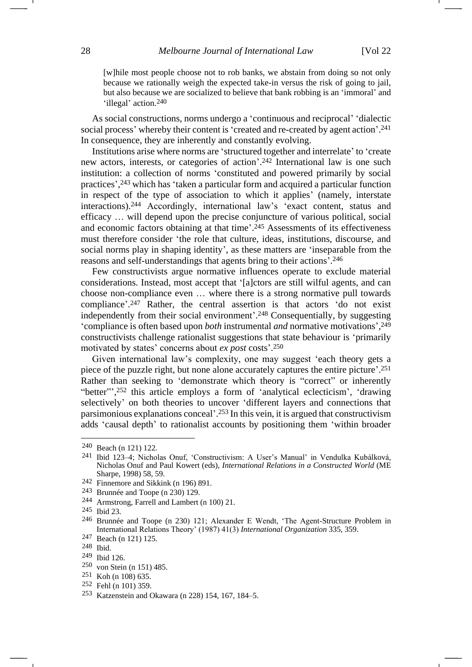[w]hile most people choose not to rob banks, we abstain from doing so not only because we rationally weigh the expected take-in versus the risk of going to jail, but also because we are socialized to believe that bank robbing is an 'immoral' and 'illegal' action.<sup>240</sup>

As social constructions, norms undergo a 'continuous and reciprocal' 'dialectic social process' whereby their content is 'created and re-created by agent action'. 241 In consequence, they are inherently and constantly evolving.

Institutions arise where norms are 'structured together and interrelate' to 'create new actors, interests, or categories of action'. <sup>242</sup> International law is one such institution: a collection of norms 'constituted and powered primarily by social practices', <sup>243</sup> which has 'taken a particular form and acquired a particular function in respect of the type of association to which it applies' (namely, interstate interactions).<sup>244</sup> Accordingly, international law's 'exact content, status and efficacy … will depend upon the precise conjuncture of various political, social and economic factors obtaining at that time'. <sup>245</sup> Assessments of its effectiveness must therefore consider 'the role that culture, ideas, institutions, discourse, and social norms play in shaping identity', as these matters are 'inseparable from the reasons and self-understandings that agents bring to their actions'. 246

Few constructivists argue normative influences operate to exclude material considerations. Instead, most accept that '[a]ctors are still wilful agents, and can choose non-compliance even … where there is a strong normative pull towards compliance'. <sup>247</sup> Rather, the central assertion is that actors 'do not exist independently from their social environment'. <sup>248</sup> Consequentially, by suggesting 'compliance is often based upon *both* instrumental *and* normative motivations', 249 constructivists challenge rationalist suggestions that state behaviour is 'primarily motivated by states' concerns about *ex post* costs'. 250

Given international law's complexity, one may suggest 'each theory gets a piece of the puzzle right, but none alone accurately captures the entire picture'. 251 Rather than seeking to 'demonstrate which theory is "correct" or inherently "better"',<sup>252</sup> this article employs a form of 'analytical eclecticism', 'drawing selectively' on both theories to uncover 'different layers and connections that parsimonious explanations conceal'. <sup>253</sup> In this vein, it is argued that constructivism adds 'causal depth' to rationalist accounts by positioning them 'within broader

<sup>240</sup> Beach (n [121\)](#page-15-1) 122.

<sup>241</sup> Ibid 123–4; Nicholas Onuf, 'Constructivism: A User's Manual' in Vendulka Kubálková, Nicholas Onuf and Paul Kowert (eds), *International Relations in a Constructed World* (ME Sharpe, 1998) 58, 59.

<sup>242</sup> Finnemore and Sikkink (n [196\)](#page-22-2) 891.

<sup>243</sup> Brunnée and Toope (n [230\)](#page-26-0) 129.

<sup>244</sup> Armstrong, Farrell and Lambert ([n 100\)](#page-13-0) 21.

<sup>245</sup> Ibid 23.

<sup>246</sup> Brunnée and Toope (n [230\)](#page-26-0) 121; Alexander E Wendt, 'The Agent-Structure Problem in International Relations Theory' (1987) 41(3) *International Organization* 335, 359.

<sup>247</sup> Beach (n [121\)](#page-15-1) 125.

<sup>248</sup> Ibid.

<sup>249</sup> Ibid 126.

<sup>250</sup> von Stein (n [151\)](#page-18-2) 485.

<sup>251</sup> Koh ([n 108\)](#page-14-1) 635.

<sup>252</sup> Fehl (n 101) 359.

<sup>253</sup> Katzenstein and Okawara (n [228\)](#page-25-0) 154, 167, 184–5.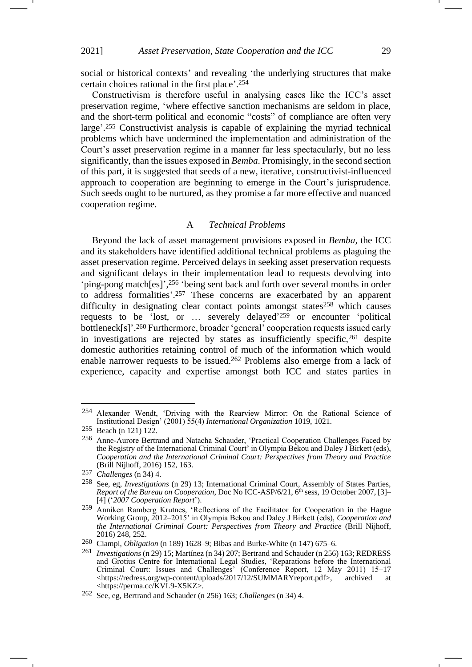social or historical contexts' and revealing 'the underlying structures that make certain choices rational in the first place'. 254

Constructivism is therefore useful in analysing cases like the ICC's asset preservation regime, 'where effective sanction mechanisms are seldom in place, and the short-term political and economic "costs" of compliance are often very large'. <sup>255</sup> Constructivist analysis is capable of explaining the myriad technical problems which have undermined the implementation and administration of the Court's asset preservation regime in a manner far less spectacularly, but no less significantly, than the issues exposed in *Bemba*. Promisingly, in the second section of this part, it is suggested that seeds of a new, iterative, constructivist-influenced approach to cooperation are beginning to emerge in the Court's jurisprudence. Such seeds ought to be nurtured, as they promise a far more effective and nuanced cooperation regime.

### <span id="page-28-1"></span><span id="page-28-0"></span>A *Technical Problems*

Beyond the lack of asset management provisions exposed in *Bemba,* the ICC and its stakeholders have identified additional technical problems as plaguing the asset preservation regime. Perceived delays in seeking asset preservation requests and significant delays in their implementation lead to requests devolving into 'ping-pong match[es]', <sup>256</sup> 'being sent back and forth over several months in order to address formalities'. <sup>257</sup> These concerns are exacerbated by an apparent difficulty in designating clear contact points amongst states<sup>258</sup> which causes requests to be 'lost, or ... severely delayed'<sup>259</sup> or encounter 'political bottleneck[s]'. <sup>260</sup> Furthermore, broader 'general' cooperation requests issued early in investigations are rejected by states as insufficiently specific,<sup>261</sup> despite domestic authorities retaining control of much of the information which would enable narrower requests to be issued.<sup>262</sup> Problems also emerge from a lack of experience, capacity and expertise amongst both ICC and states parties in

<sup>254</sup> Alexander Wendt, 'Driving with the Rearview Mirror: On the Rational Science of Institutional Design' (2001) 55(4) *International Organization* 1019, 1021.

<sup>255</sup> Beach (n [121\)](#page-15-1) 122.

<sup>256</sup> Anne-Aurore Bertrand and Natacha Schauder, 'Practical Cooperation Challenges Faced by the Registry of the International Criminal Court' in Olympia Bekou and Daley J Birkett (eds), *Cooperation and the International Criminal Court: Perspectives from Theory and Practice* (Brill Nijhoff, 2016) 152, 163.

<sup>257</sup> *Challenges* (n [34\)](#page-6-0) 4.

<sup>258</sup> See, eg, *Investigations* (n [29\)](#page-5-0) 13; International Criminal Court, Assembly of States Parties, *Report of the Bureau on Cooperation*, Doc No ICC-ASP/6/21, 6<sup>th</sup> sess, 19 October 2007, [3]-[4] ('*2007 Cooperation Report*').

<sup>&</sup>lt;sup>259</sup> Anniken Ramberg Krutnes, 'Reflections of the Facilitator for Cooperation in the Hague Working Group, 2012–2015' in Olympia Bekou and Daley J Birkett (eds), *Cooperation and the International Criminal Court: Perspectives from Theory and Practice* (Brill Nijhoff, 2016) 248, 252.

<sup>260</sup> Ciampi, *Obligation* (n [189\)](#page-22-3) 1628–9; Bibas and Burke-White (n [147\)](#page-18-0) 675–6.

<sup>261</sup> *Investigations* ([n 29\)](#page-5-0) 15; Martínez (n [34\)](#page-6-0) 207; Bertrand and Schauder (n [256\)](#page-28-0) 163; REDRESS and Grotius Centre for International Legal Studies, 'Reparations before the International Criminal Court: Issues and Challenges' (Conference Report, 12 May 2011) 15–17 <https://redress.org/wp-content/uploads/2017/12/SUMMARYreport.pdf>, archived at <https://perma.cc/KVL9-X5KZ>.

<sup>262</sup> See, eg, Bertrand and Schauder ([n 256\)](#page-28-0) 163; *Challenges* (n [34\)](#page-6-0) 4.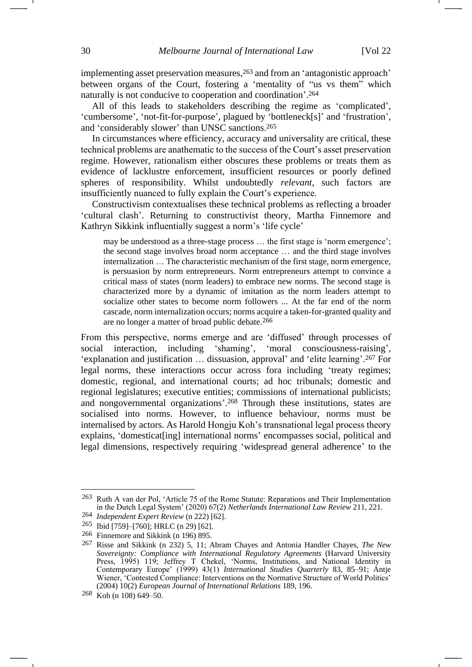implementing asset preservation measures,<sup>263</sup> and from an 'antagonistic approach' between organs of the Court, fostering a 'mentality of "us vs them" which naturally is not conducive to cooperation and coordination'. 264

All of this leads to stakeholders describing the regime as 'complicated', 'cumbersome', 'not-fit-for-purpose', plagued by 'bottleneck[s]' and 'frustration', and 'considerably slower' than UNSC sanctions.<sup>265</sup>

In circumstances where efficiency, accuracy and universality are critical, these technical problems are anathematic to the success of the Court's asset preservation regime. However, rationalism either obscures these problems or treats them as evidence of lacklustre enforcement, insufficient resources or poorly defined spheres of responsibility. Whilst undoubtedly *relevant*, such factors are insufficiently nuanced to fully explain the Court's experience.

Constructivism contextualises these technical problems as reflecting a broader 'cultural clash'. Returning to constructivist theory, Martha Finnemore and Kathryn Sikkink influentially suggest a norm's 'life cycle'

may be understood as a three-stage process … the first stage is 'norm emergence'; the second stage involves broad norm acceptance … and the third stage involves internalization … The characteristic mechanism of the first stage, norm emergence, is persuasion by norm entrepreneurs. Norm entrepreneurs attempt to convince a critical mass of states (norm leaders) to embrace new norms. The second stage is characterized more by a dynamic of imitation as the norm leaders attempt to socialize other states to become norm followers ... At the far end of the norm cascade, norm internalization occurs; norms acquire a taken-for-granted quality and are no longer a matter of broad public debate.<sup>266</sup>

<span id="page-29-0"></span>From this perspective, norms emerge and are 'diffused' through processes of social interaction, including 'shaming', 'moral consciousness-raising', 'explanation and justification … dissuasion, approval' and 'elite learning'. <sup>267</sup> For legal norms, these interactions occur across fora including 'treaty regimes; domestic, regional, and international courts; ad hoc tribunals; domestic and regional legislatures; executive entities; commissions of international publicists; and nongovernmental organizations'. <sup>268</sup> Through these institutions, states are socialised into norms. However, to influence behaviour, norms must be internalised by actors. As Harold Hongju Koh's transnational legal process theory explains, 'domesticat[ing] international norms' encompasses social, political and legal dimensions, respectively requiring 'widespread general adherence' to the

<sup>263</sup> Ruth A van der Pol, 'Article 75 of the Rome Statute: Reparations and Their Implementation in the Dutch Legal System' (2020) 67(2) *Netherlands International Law Review* 211, 221.

<sup>264</sup> *Independent Expert Review* (n [222\)](#page-25-1) [62].

<sup>265</sup> Ibid [759]–[760]; HRLC (n [29\)](#page-5-0) [62].

<sup>266</sup> Finnemore and Sikkink (n [196\)](#page-22-2) 895.

<sup>267</sup> Risse and Sikkink (n [232\)](#page-26-1) 5, 11; Abram Chayes and Antonia Handler Chayes, *The New Sovereignty: Compliance with International Regulatory Agreements* (Harvard University Press, 1995) 119; Jeffrey T Chekel, 'Norms, Institutions, and National Identity in Contemporary Europe' (1999) 43(1) *International Studies Quarterly* 83, 85–91; Antje Wiener, 'Contested Compliance: Interventions on the Normative Structure of World Politics' (2004) 10(2) *European Journal of International Relations* 189, 196.

<sup>268</sup> Koh ([n 108\)](#page-14-1) 649–50.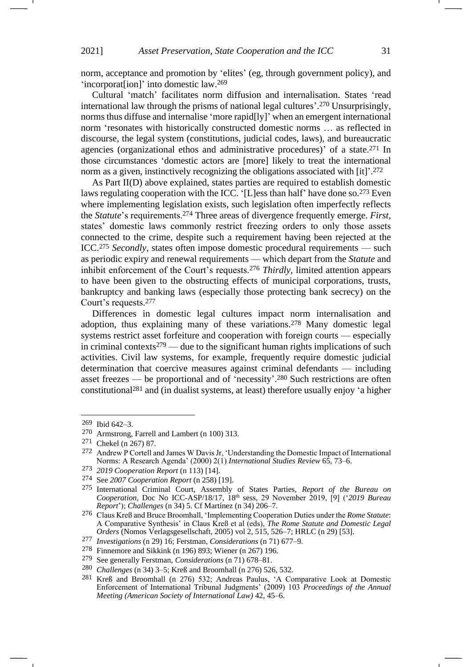norm, acceptance and promotion by 'elites' (eg, through government policy), and 'incorporat[ion]' into domestic law.<sup>269</sup>

Cultural 'match' facilitates norm diffusion and internalisation. States 'read international law through the prisms of national legal cultures'. <sup>270</sup> Unsurprisingly, norms thus diffuse and internalise 'more rapid[ly]' when an emergent international norm 'resonates with historically constructed domestic norms … as reflected in discourse, the legal system (constitutions, judicial codes, laws), and bureaucratic agencies (organizational ethos and administrative procedures)' of a state.<sup>271</sup> In those circumstances 'domestic actors are [more] likely to treat the international norm as a given, instinctively recognizing the obligations associated with [it]'. 272

As Part II(D) above explained, states parties are required to establish domestic laws regulating cooperation with the ICC. '[L]ess than half' have done so.<sup>273</sup> Even where implementing legislation exists, such legislation often imperfectly reflects the *Statute*'s requirements.<sup>274</sup> Three areas of divergence frequently emerge. *First,*  states' domestic laws commonly restrict freezing orders to only those assets connected to the crime, despite such a requirement having been rejected at the ICC.<sup>275</sup> *Secondly*, states often impose domestic procedural requirements — such as periodic expiry and renewal requirements — which depart from the *Statute* and inhibit enforcement of the Court's requests.<sup>276</sup> *Thirdly,* limited attention appears to have been given to the obstructing effects of municipal corporations, trusts, bankruptcy and banking laws (especially those protecting bank secrecy) on the Court's requests.<sup>277</sup>

<span id="page-30-0"></span>Differences in domestic legal cultures impact norm internalisation and adoption, thus explaining many of these variations.<sup>278</sup> Many domestic legal systems restrict asset forfeiture and cooperation with foreign courts — especially in criminal contexts<sup>279</sup> — due to the significant human rights implications of such activities. Civil law systems, for example, frequently require domestic judicial determination that coercive measures against criminal defendants — including asset freezes — be proportional and of 'necessity'. <sup>280</sup> Such restrictions are often constitutional<sup>281</sup> and (in dualist systems, at least) therefore usually enjoy 'a higher

<span id="page-30-1"></span><sup>269</sup> Ibid 642–3.

<sup>270</sup> Armstrong, Farrell and Lambert ([n 100\)](#page-13-0) 313.

<sup>271</sup> Chekel ([n 267\)](#page-29-0) 87.

<sup>272</sup> Andrew P Cortell and James W Davis Jr, 'Understanding the Domestic Impact of International Norms: A Research Agenda' (2000) 2(1) *International Studies Review* 65, 73–6.

<sup>273</sup> *2019 Cooperation Report* (n [113\)](#page-14-2) [14].

<sup>274</sup> See *2007 Cooperation Report* (n [258\)](#page-28-1) [19].

<sup>275</sup> International Criminal Court, Assembly of States Parties, *Report of the Bureau on Cooperation*, Doc No ICC-ASP/18/17, 18th sess, 29 November 2019, [9] ('*2019 Bureau Report*'); *Challenges* (n [34\)](#page-6-0) 5. Cf Martínez (n [34\)](#page-6-0) 206–7.

<sup>276</sup> Claus Kreß and Bruce Broomhall, 'Implementing Cooperation Duties under the *Rome Statute*: A Comparative Synthesis' in Claus Kreß et al (eds), *The Rome Statute and Domestic Legal Orders* (Nomos Verlagsgesellschaft, 2005) vol 2, 515, 526–7; HRLC (n [29\)](#page-5-0) [53].

<sup>277</sup> *Investigations* (n [29\)](#page-5-0) 16; Ferstman, *Considerations* (n [71\)](#page-10-1) 677–9.

<sup>278</sup> Finnemore and Sikkink (n [196\)](#page-22-2) 893; Wiener (n [267\)](#page-29-0) 196.

<sup>279</sup> See generally Ferstman, *Considerations* (n [71\)](#page-10-1) 678–81.

<sup>280</sup> *Challenges* (n [34\)](#page-6-0) 3–5; Kreß and Broomhall (n [276\)](#page-30-0) 526, 532.

<sup>281</sup> Kreß and Broomhall (n [276\)](#page-30-0) 532; Andreas Paulus, 'A Comparative Look at Domestic Enforcement of International Tribunal Judgments' (2009) 103 *Proceedings of the Annual Meeting (American Society of International Law)* 42, 45–6.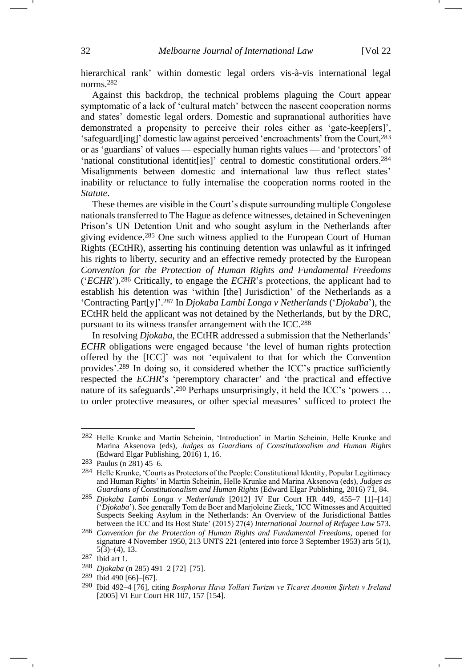hierarchical rank' within domestic legal orders vis-à-vis international legal norms.<sup>282</sup>

Against this backdrop, the technical problems plaguing the Court appear symptomatic of a lack of 'cultural match' between the nascent cooperation norms and states' domestic legal orders. Domestic and supranational authorities have demonstrated a propensity to perceive their roles either as 'gate-keep[ers]', 'safeguard[ing]' domestic law against perceived 'encroachments' from the Court,<sup>283</sup> or as 'guardians' of values — especially human rights values — and 'protectors' of 'national constitutional identit[ies]' central to domestic constitutional orders.<sup>284</sup> Misalignments between domestic and international law thus reflect states' inability or reluctance to fully internalise the cooperation norms rooted in the *Statute*.

<span id="page-31-0"></span>These themes are visible in the Court's dispute surrounding multiple Congolese nationals transferred to The Hague as defence witnesses, detained in Scheveningen Prison's UN Detention Unit and who sought asylum in the Netherlands after giving evidence.<sup>285</sup> One such witness applied to the European Court of Human Rights (ECtHR), asserting his continuing detention was unlawful as it infringed his rights to liberty, security and an effective remedy protected by the European *Convention for the Protection of Human Rights and Fundamental Freedoms* ('*ECHR*').<sup>286</sup> Critically, to engage the *ECHR*'s protections, the applicant had to establish his detention was 'within [the] Jurisdiction' of the Netherlands as a 'Contracting Part[y]'. <sup>287</sup> In *Djokaba Lambi Longa v Netherlands* ('*Djokaba*'), the ECtHR held the applicant was not detained by the Netherlands, but by the DRC, pursuant to its witness transfer arrangement with the ICC.<sup>288</sup>

In resolving *Djokaba*, the ECtHR addressed a submission that the Netherlands' *ECHR* obligations were engaged because 'the level of human rights protection offered by the [ICC]' was not 'equivalent to that for which the Convention provides'. <sup>289</sup> In doing so, it considered whether the ICC's practice sufficiently respected the *ECHR*'s 'peremptory character' and 'the practical and effective nature of its safeguards'.<sup>290</sup> Perhaps unsurprisingly, it held the ICC's 'powers ... to order protective measures, or other special measures' sufficed to protect the

<sup>282</sup> Helle Krunke and Martin Scheinin, 'Introduction' in Martin Scheinin, Helle Krunke and Marina Aksenova (eds), *Judges as Guardians of Constitutionalism and Human Rights*  (Edward Elgar Publishing, 2016) 1, 16.

<sup>283</sup> Paulus (n [281\)](#page-30-1) 45–6.

<sup>284</sup> Helle Krunke, 'Courts as Protectors of the People: Constitutional Identity, Popular Legitimacy and Human Rights' in Martin Scheinin, Helle Krunke and Marina Aksenova (eds), *Judges as Guardians of Constitutionalism and Human Rights* (Edward Elgar Publishing, 2016) 71, 84.

<sup>285</sup> *Djokaba Lambi Longa v Netherlands* [2012] IV Eur Court HR 449, 455–7 [1]–[14] ('*Djokaba*'). See generally Tom de Boer and Marjoleine Zieck, 'ICC Witnesses and Acquitted Suspects Seeking Asylum in the Netherlands: An Overview of the Jurisdictional Battles between the ICC and Its Host State' (2015) 27(4) *International Journal of Refugee Law* 573.

<sup>286</sup> *Convention for the Protection of Human Rights and Fundamental Freedoms*, opened for signature 4 November 1950, 213 UNTS 221 (entered into force 3 September 1953) arts 5(1),  $5(3)$ – $(4)$ , 13.

<sup>287</sup> Ibid art 1.

<sup>288</sup> *Djokaba* ([n 285\)](#page-31-0) 491–2 [72]–[75].

<sup>289</sup> Ibid 490 [66]–[67].

<sup>290</sup> Ibid 492–4 [76], citing *Bosphorus Hava Yollari Turizm ve Ticaret Anonim Şirketi v Ireland* [2005] VI Eur Court HR 107, 157 [154].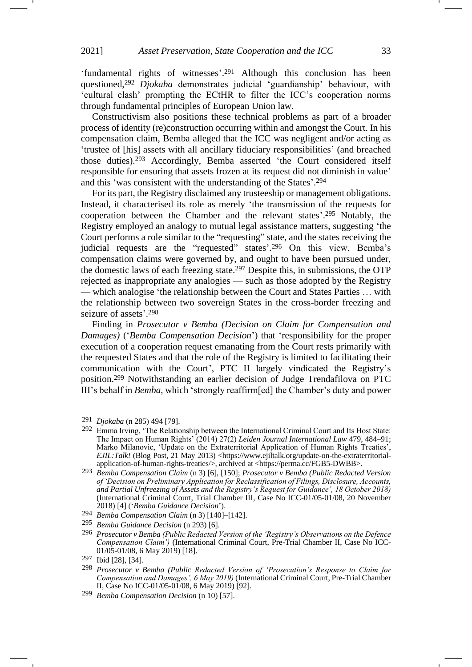'fundamental rights of witnesses'. <sup>291</sup> Although this conclusion has been questioned,<sup>292</sup> *Djokaba* demonstrates judicial 'guardianship' behaviour, with 'cultural clash' prompting the ECtHR to filter the ICC's cooperation norms through fundamental principles of European Union law.

Constructivism also positions these technical problems as part of a broader process of identity (re)construction occurring within and amongst the Court. In his compensation claim, Bemba alleged that the ICC was negligent and/or acting as 'trustee of [his] assets with all ancillary fiduciary responsibilities' (and breached those duties).<sup>293</sup> Accordingly, Bemba asserted 'the Court considered itself responsible for ensuring that assets frozen at its request did not diminish in value' and this 'was consistent with the understanding of the States'. 294

<span id="page-32-1"></span><span id="page-32-0"></span>For its part, the Registry disclaimed any trusteeship or management obligations. Instead, it characterised its role as merely 'the transmission of the requests for cooperation between the Chamber and the relevant states'. <sup>295</sup> Notably, the Registry employed an analogy to mutual legal assistance matters, suggesting 'the Court performs a role similar to the "requesting" state, and the states receiving the judicial requests are the "requested" states'.<sup>296</sup> On this view, Bemba's compensation claims were governed by, and ought to have been pursued under, the domestic laws of each freezing state.<sup>297</sup> Despite this, in submissions, the OTP rejected as inappropriate any analogies — such as those adopted by the Registry — which analogise 'the relationship between the Court and States Parties … with the relationship between two sovereign States in the cross-border freezing and seizure of assets'. 298

Finding in *Prosecutor v Bemba (Decision on Claim for Compensation and Damages)* ('*Bemba Compensation Decision*') that 'responsibility for the proper execution of a cooperation request emanating from the Court rests primarily with the requested States and that the role of the Registry is limited to facilitating their communication with the Court', PTC II largely vindicated the Registry's position.<sup>299</sup> Notwithstanding an earlier decision of Judge Trendafilova on PTC III's behalf in *Bemba*, which 'strongly reaffirm[ed] the Chamber's duty and power

<sup>291</sup> *Djokaba* ([n 285\)](#page-31-0) 494 [79].

<sup>292</sup> Emma Irving, 'The Relationship between the International Criminal Court and Its Host State: The Impact on Human Rights' (2014) 27(2) *Leiden Journal International Law* 479, 484–91; Marko Milanovic, 'Update on the Extraterritorial Application of Human Rights Treaties', *EJIL:Talk!* (Blog Post, 21 May 2013) <https://www.ejiltalk.org/update-on-the-extraterritorialapplication-of-human-rights-treaties/>, archived at <https://perma.cc/FGB5-DWBB>.

<sup>293</sup> *Bemba Compensation Claim* (n [3\)](#page-1-0) [6], [150]; *Prosecutor v Bemba (Public Redacted Version of 'Decision on Preliminary Application for Reclassification of Filings, Disclosure, Accounts, and Partial Unfreezing of Assets and the Registry's Request for Guidance', 18 October 2018)*  (International Criminal Court, Trial Chamber III, Case No ICC-01/05-01/08, 20 November 2018) [4] ('*Bemba Guidance Decision*').

<sup>294</sup> *Bemba Compensation Claim* (n [3\)](#page-1-0) [140]–[142].

<sup>295</sup> *Bemba Guidance Decision* (n [293\)](#page-32-0) [6].

<sup>296</sup> *Prosecutor v Bemba (Public Redacted Version of the 'Registry's Observations on the Defence Compensation Claim')* (International Criminal Court, Pre-Trial Chamber II, Case No ICC-01/05-01/08, 6 May 2019) [18].

<sup>297</sup> Ibid [28], [34].

<sup>298</sup> *Prosecutor v Bemba (Public Redacted Version of 'Prosecution's Response to Claim for Compensation and Damages', 6 May 2019)* (International Criminal Court, Pre-Trial Chamber II, Case No ICC-01/05-01/08, 6 May 2019) [92].

<sup>299</sup> *Bemba Compensation Decision* (n [10\)](#page-2-1) [57].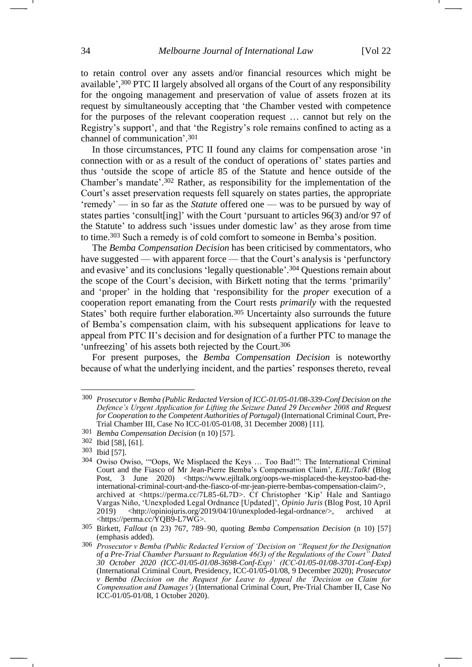to retain control over any assets and/or financial resources which might be available', <sup>300</sup> PTC II largely absolved all organs of the Court of any responsibility for the ongoing management and preservation of value of assets frozen at its request by simultaneously accepting that 'the Chamber vested with competence for the purposes of the relevant cooperation request … cannot but rely on the Registry's support', and that 'the Registry's role remains confined to acting as a channel of communication'. 301

In those circumstances, PTC II found any claims for compensation arose 'in connection with or as a result of the conduct of operations of' states parties and thus 'outside the scope of article 85 of the Statute and hence outside of the Chamber's mandate'. <sup>302</sup> Rather, as responsibility for the implementation of the Court's asset preservation requests fell squarely on states parties, the appropriate 'remedy' — in so far as the *Statute* offered one — was to be pursued by way of states parties 'consult[ing]' with the Court 'pursuant to articles 96(3) and/or 97 of the Statute' to address such 'issues under domestic law' as they arose from time to time.<sup>303</sup> Such a remedy is of cold comfort to someone in Bemba's position.

<span id="page-33-0"></span>The *Bemba Compensation Decision* has been criticised by commentators, who have suggested — with apparent force — that the Court's analysis is 'perfunctory and evasive' and its conclusions 'legally questionable'. <sup>304</sup> Questions remain about the scope of the Court's decision, with Birkett noting that the terms 'primarily' and 'proper' in the holding that 'responsibility for the *proper* execution of a cooperation report emanating from the Court rests *primarily* with the requested States' both require further elaboration.<sup>305</sup> Uncertainty also surrounds the future of Bemba's compensation claim, with his subsequent applications for leave to appeal from PTC II's decision and for designation of a further PTC to manage the 'unfreezing' of his assets both rejected by the Court.<sup>306</sup>

For present purposes, the *Bemba Compensation Decision* is noteworthy because of what the underlying incident, and the parties' responses thereto, reveal

<sup>300</sup> *Prosecutor v Bemba (Public Redacted Version of ICC-01/05-01/08-339-Conf Decision on the Defence's Urgent Application for Lifting the Seizure Dated 29 December 2008 and Request for Cooperation to the Competent Authorities of Portugal)* (International Criminal Court, Pre-Trial Chamber III, Case No ICC-01/05-01/08, 31 December 2008) [11].

<sup>301</sup> *Bemba Compensation Decision* (n [10\)](#page-2-1) [57].

<sup>302</sup> Ibid [58], [61].

<sup>303</sup> Ibid [57].

<sup>304</sup> Owiso Owiso, '"Oops, We Misplaced the Keys … Too Bad!": The International Criminal Court and the Fiasco of Mr Jean-Pierre Bemba's Compensation Claim', *EJIL:Talk!* (Blog Post, 3 June 2020) <https://www.ejiltalk.org/oops-we-misplaced-the-keystoo-bad-theinternational-criminal-court-and-the-fiasco-of-mr-jean-pierre-bembas-compensation-claim/>, archived at <https://perma.cc/7L85-6L7D>. Cf Christopher 'Kip' Hale and Santiago Vargas Niño, 'Unexploded Legal Ordnance [Updated]', *Opinio Juris* (Blog Post, 10 April  $2019$  <http://opiniojuris.org/2019/04/10/unexploded-legal-ordnance/>, archived <https://perma.cc/YQB9-L7WG>.

<sup>305</sup> Birkett, *Fallout* (n [23\)](#page-3-2) 767, 789–90, quoting *Bemba Compensation Decision* (n [10\)](#page-2-1) [57] (emphasis added).

<sup>306</sup> *Prosecutor v Bemba (Public Redacted Version of 'Decision on "Request for the Designation of a Pre-Trial Chamber Pursuant to Regulation 46(3) of the Regulations of the Court" Dated 30 October 2020 (ICC-01/05-01/08-3698-Conf-Exp)' (ICC-01/05-01/08-3701-Conf-Exp)* (International Criminal Court, Presidency, ICC-01/05-01/08, 9 December 2020); *Prosecutor v Bemba (Decision on the Request for Leave to Appeal the 'Decision on Claim for Compensation and Damages')* (International Criminal Court, Pre-Trial Chamber II, Case No ICC-01/05-01/08, 1 October 2020).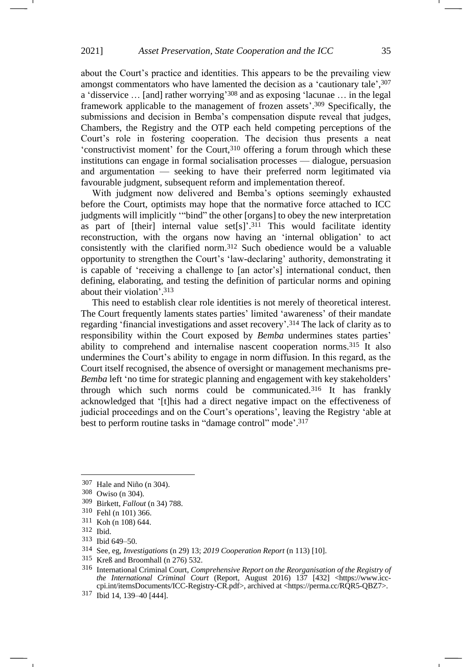about the Court's practice and identities. This appears to be the prevailing view amongst commentators who have lamented the decision as a 'cautionary tale', 307 a 'disservice … [and] rather worrying' <sup>308</sup> and as exposing 'lacunae … in the legal framework applicable to the management of frozen assets'. <sup>309</sup> Specifically, the submissions and decision in Bemba's compensation dispute reveal that judges, Chambers, the Registry and the OTP each held competing perceptions of the Court's role in fostering cooperation. The decision thus presents a neat 'constructivist moment' for the Court, $310$  offering a forum through which these institutions can engage in formal socialisation processes — dialogue, persuasion and argumentation — seeking to have their preferred norm legitimated via favourable judgment, subsequent reform and implementation thereof.

With judgment now delivered and Bemba's options seemingly exhausted before the Court, optimists may hope that the normative force attached to ICC judgments will implicitly '"bind" the other [organs] to obey the new interpretation as part of [their] internal value  $set[s]'^{311}$  This would facilitate identity reconstruction, with the organs now having an 'internal obligation' to act consistently with the clarified norm.<sup>312</sup> Such obedience would be a valuable opportunity to strengthen the Court's 'law-declaring' authority, demonstrating it is capable of 'receiving a challenge to [an actor's] international conduct, then defining, elaborating, and testing the definition of particular norms and opining about their violation'. 313

This need to establish clear role identities is not merely of theoretical interest. The Court frequently laments states parties' limited 'awareness' of their mandate regarding 'financial investigations and asset recovery'. <sup>314</sup> The lack of clarity as to responsibility within the Court exposed by *Bemba* undermines states parties' ability to comprehend and internalise nascent cooperation norms.<sup>315</sup> It also undermines the Court's ability to engage in norm diffusion. In this regard, as the Court itself recognised, the absence of oversight or management mechanisms pre-*Bemba* left 'no time for strategic planning and engagement with key stakeholders' through which such norms could be communicated.<sup>316</sup> It has frankly acknowledged that '[t]his had a direct negative impact on the effectiveness of judicial proceedings and on the Court's operations', leaving the Registry 'able at best to perform routine tasks in "damage control" mode'.<sup>317</sup>

<sup>307</sup> Hale and Niño ([n 304\)](#page-33-0).

<sup>308</sup> Owiso (n [304\)](#page-33-0).

<sup>309</sup> Birkett, *Fallout* ([n 34\)](#page-6-0) 788.

<sup>310</sup> Fehl (n [101\)](#page-13-2) 366.

<sup>311</sup> Koh ([n 108\)](#page-14-1) 644.

<sup>312</sup> Ibid.

<sup>313</sup> Ibid 649–50.

<sup>314</sup> See, eg, *Investigations* (n [29\)](#page-5-0) 13; *2019 Cooperation Report* (n [113\)](#page-14-2) [10].

<sup>315</sup> Kreß and Broomhall (n [276\)](#page-30-0) 532.

<sup>316</sup> International Criminal Court, *Comprehensive Report on the Reorganisation of the Registry of the International Criminal Court* (Report, August 2016) 137 [432] <https://www.icccpi.int/itemsDocuments/ICC-Registry-CR.pdf>, archived at <https://perma.cc/RQR5-QBZ7>.

<sup>317</sup> Ibid 14, 139–40 [444].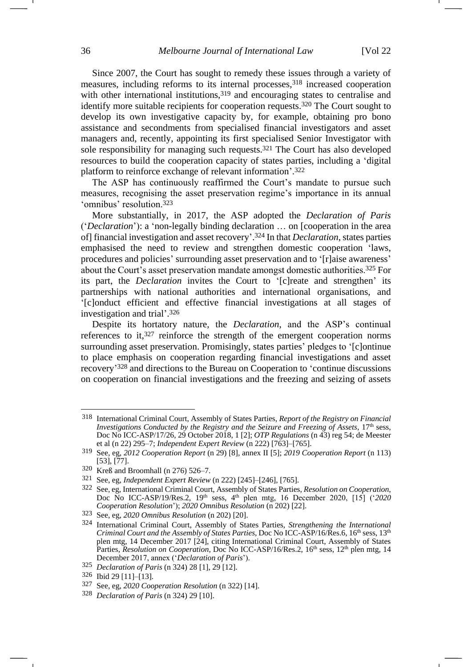Since 2007, the Court has sought to remedy these issues through a variety of measures, including reforms to its internal processes,<sup>318</sup> increased cooperation with other international institutions,<sup>319</sup> and encouraging states to centralise and identify more suitable recipients for cooperation requests.<sup>320</sup> The Court sought to develop its own investigative capacity by, for example, obtaining pro bono assistance and secondments from specialised financial investigators and asset managers and, recently, appointing its first specialised Senior Investigator with sole responsibility for managing such requests.<sup>321</sup> The Court has also developed resources to build the cooperation capacity of states parties, including a 'digital platform to reinforce exchange of relevant information'. 322

<span id="page-35-1"></span>The ASP has continuously reaffirmed the Court's mandate to pursue such measures, recognising the asset preservation regime's importance in its annual 'omnibus' resolution.<sup>323</sup>

<span id="page-35-0"></span>More substantially, in 2017, the ASP adopted the *Declaration of Paris* ('*Declaration*'): a 'non-legally binding declaration … on [cooperation in the area of] financial investigation and asset recovery'. <sup>324</sup> In that *Declaration*, states parties emphasised the need to review and strengthen domestic cooperation 'laws, procedures and policies' surrounding asset preservation and to '[r]aise awareness' about the Court's asset preservation mandate amongst domestic authorities.<sup>325</sup> For its part, the *Declaration* invites the Court to '[c]reate and strengthen' its partnerships with national authorities and international organisations, and '[c]onduct efficient and effective financial investigations at all stages of investigation and trial'. 326

Despite its hortatory nature, the *Declaration*, and the ASP's continual references to it,  $327$  reinforce the strength of the emergent cooperation norms surrounding asset preservation. Promisingly, states parties' pledges to '[c]ontinue to place emphasis on cooperation regarding financial investigations and asset recovery' <sup>328</sup> and directions to the Bureau on Cooperation to 'continue discussions on cooperation on financial investigations and the freezing and seizing of assets

<sup>318</sup> International Criminal Court, Assembly of States Parties, *Report of the Registry on Financial Investigations Conducted by the Registry and the Seizure and Freezing of Assets*, 17<sup>th</sup> sess, Doc No ICC-ASP/17/26, 29 October 2018, 1 [2]; *OTP Regulations* (n [43\)](#page-8-0) reg 54; de Meester et al (n [22\)](#page-3-1) 295–7; *Independent Expert Review* ([n 222\)](#page-25-1) [763]–[765].

<sup>319</sup> See, eg, *2012 Cooperation Report* ([n 29\)](#page-5-0) [8], annex II [5]; *2019 Cooperation Report* (n [113\)](#page-14-2) [53], [77].

<sup>320</sup> Kreß and Broomhall (n [276\)](#page-30-0) 526–7.

<sup>321</sup> See, eg, *Independent Expert Review* (n [222\)](#page-25-1) [245]–[246], [765].

<sup>322</sup> See, eg, International Criminal Court, Assembly of States Parties, *Resolution on Cooperation*, Doc No ICC-ASP/19/Res.2, 19th sess, 4th plen mtg, 16 December 2020, [15] ('*2020 Cooperation Resolution*'); *2020 Omnibus Resolution* (n [202\)](#page-23-0) [22].

<sup>323</sup> See, eg, *2020 Omnibus Resolution* (n [202\)](#page-23-0) [20].

<sup>324</sup> International Criminal Court, Assembly of States Parties, *Strengthening the International Criminal Court and the Assembly of States Parties*, Doc No ICC-ASP/16/Res.6, 16<sup>th</sup> sess, 13<sup>th</sup> plen mtg, 14 December 2017 [24], citing International Criminal Court, Assembly of States Parties, *Resolution on Cooperation*, Doc No ICC-ASP/16/Res.2, 16<sup>th</sup> sess, 12<sup>th</sup> plen mtg, 14 December 2017, annex ('*Declaration of Paris*').

<sup>325</sup> *Declaration of Paris* (n [324\)](#page-35-0) 28 [1], 29 [12].

<sup>326</sup> Ibid 29 [11]–[13].

<sup>327</sup> See, eg, *2020 Cooperation Resolution* ([n 322\)](#page-35-1) [14].

<sup>328</sup> *Declaration of Paris* (n [324\)](#page-35-0) 29 [10].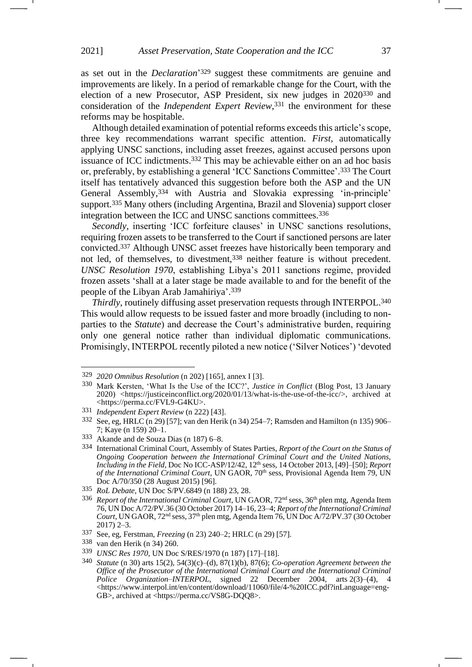as set out in the *Declaration*' <sup>329</sup> suggest these commitments are genuine and improvements are likely. In a period of remarkable change for the Court, with the election of a new Prosecutor, ASP President, six new judges in 2020<sup>330</sup> and consideration of the *Independent Expert Review*, <sup>331</sup> the environment for these reforms may be hospitable.

Although detailed examination of potential reforms exceeds this article's scope, three key recommendations warrant specific attention. *First*, automatically applying UNSC sanctions, including asset freezes, against accused persons upon issuance of ICC indictments.<sup>332</sup> This may be achievable either on an ad hoc basis or, preferably, by establishing a general 'ICC Sanctions Committee'.<sup>333</sup> The Court itself has tentatively advanced this suggestion before both the ASP and the UN General Assembly,<sup>334</sup> with Austria and Slovakia expressing 'in-principle' support.<sup>335</sup> Many others (including Argentina, Brazil and Slovenia) support closer integration between the ICC and UNSC sanctions committees.<sup>336</sup>

*Secondly,* inserting 'ICC forfeiture clauses' in UNSC sanctions resolutions, requiring frozen assets to be transferred to the Court if sanctioned persons are later convicted.<sup>337</sup> Although UNSC asset freezes have historically been temporary and not led, of themselves, to divestment,<sup>338</sup> neither feature is without precedent. *UNSC Resolution 1970*, establishing Libya's 2011 sanctions regime, provided frozen assets 'shall at a later stage be made available to and for the benefit of the people of the Libyan Arab Jamahiriya'. 339

*Thirdly,* routinely diffusing asset preservation requests through INTERPOL.<sup>340</sup> This would allow requests to be issued faster and more broadly (including to nonparties to the *Statute*) and decrease the Court's administrative burden, requiring only one general notice rather than individual diplomatic communications. Promisingly, INTERPOL recently piloted a new notice ('Silver Notices') 'devoted

<sup>329</sup> *2020 Omnibus Resolution* (n [202\)](#page-23-0) [165], annex I [3].

<sup>330</sup> Mark Kersten, 'What Is the Use of the ICC?', *Justice in Conflict* (Blog Post, 13 January 2020) <https://justiceinconflict.org/2020/01/13/what-is-the-use-of-the-icc/>, archived at <https://perma.cc/FVL9-G4KU>.

<sup>331</sup> *Independent Expert Review* (n [222\)](#page-25-1) [43].

<sup>332</sup> See, eg, HRLC ([n 29\)](#page-5-0) [57]; van den Herik ([n 34\)](#page-6-0) 254–7; Ramsden and Hamilton (n [135\)](#page-17-2) 906– 7; Kaye ([n 159\)](#page-19-0) 20–1.

<sup>333</sup> Akande and de Souza Dias (n [187\)](#page-21-0) 6–8.

<sup>334</sup> International Criminal Court, Assembly of States Parties, *Report of the Court on the Status of Ongoing Cooperation between the International Criminal Court and the United Nations, Including in the Field*, Doc No ICC-ASP/12/42, 12th sess, 14 October 2013, [49]–[50]; *Report of the International Criminal Court*, UN GAOR, 70<sup>th</sup> sess, Provisional Agenda Item 79, UN Doc A/70/350 (28 August 2015) [96].

<sup>335</sup> *RoL Debate*, UN Doc S/PV.6849 (n [188\)](#page-22-4) 23, 28.

<sup>336</sup> *Report of the International Criminal Court*, UN GAOR, 72nd sess, 36th plen mtg, Agenda Item 76, UN Doc A/72/PV.36 (30 October 2017) 14–16, 23–4; *Report of the International Criminal Court*, UN GAOR, 72<sup>nd</sup> sess, 37<sup>th</sup> plen mtg, Agenda Item 76, UN Doc A/72/PV.37 (30 October 2017) 2–3.

<sup>337</sup> See, eg, Ferstman, *Freezing* (n [23\)](#page-3-2) 240–2; HRLC (n [29\)](#page-5-0) [57].

<sup>338</sup> van den Herik (n [34\)](#page-6-0) 260.

<sup>339</sup> *UNSC Res 1970*, UN Doc S/RES/1970 (n [187\)](#page-21-0) [17]–[18].

<sup>340</sup> *Statute* (n [30\)](#page-6-1) arts 15(2), 54(3)(c)–(d), 87(1)(b), 87(6); *Co-operation Agreement between the Office of the Prosecutor of the International Criminal Court and the International Criminal Police Organization*–*INTERPOL*, signed 22 December 2004, arts 2(3)–(4), 4 <https://www.interpol.int/en/content/download/11060/file/4-%20ICC.pdf?inLanguage=eng-GB>, archived at <https://perma.cc/VS8G-DO08>.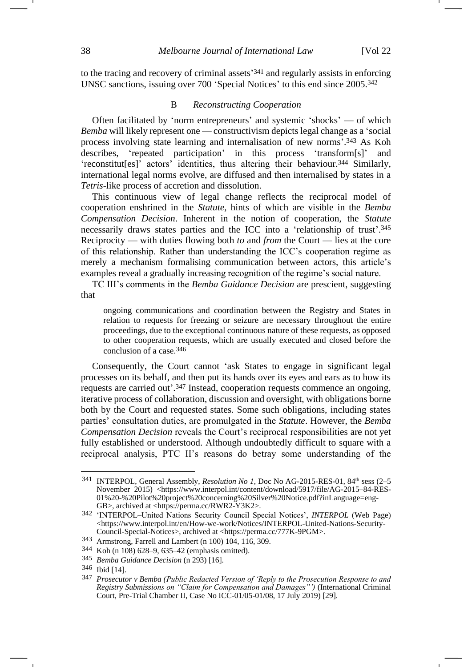to the tracing and recovery of criminal assets' <sup>341</sup> and regularly assists in enforcing UNSC sanctions, issuing over 700 'Special Notices' to this end since 2005.<sup>342</sup>

#### B *Reconstructing Cooperation*

Often facilitated by 'norm entrepreneurs' and systemic 'shocks' — of which *Bemba* will likely represent one — constructivism depicts legal change as a 'social process involving state learning and internalisation of new norms'. <sup>343</sup> As Koh describes, 'repeated participation' in this process 'transform[s]' and 'reconstitut[es]' actors' identities, thus altering their behaviour.<sup>344</sup> Similarly, international legal norms evolve, are diffused and then internalised by states in a *Tetris-*like process of accretion and dissolution.

This continuous view of legal change reflects the reciprocal model of cooperation enshrined in the *Statute,* hints of which are visible in the *Bemba Compensation Decision*. Inherent in the notion of cooperation, the *Statute*  necessarily draws states parties and the ICC into a 'relationship of trust'. 345 Reciprocity — with duties flowing both *to* and *from* the Court — lies at the core of this relationship. Rather than understanding the ICC's cooperation regime as merely a mechanism formalising communication between actors, this article's examples reveal a gradually increasing recognition of the regime's social nature.

TC III's comments in the *Bemba Guidance Decision* are prescient, suggesting that

ongoing communications and coordination between the Registry and States in relation to requests for freezing or seizure are necessary throughout the entire proceedings, due to the exceptional continuous nature of these requests, as opposed to other cooperation requests, which are usually executed and closed before the conclusion of a case.346

Consequently, the Court cannot 'ask States to engage in significant legal processes on its behalf, and then put its hands over its eyes and ears as to how its requests are carried out'.<sup>347</sup> Instead, cooperation requests commence an ongoing, iterative process of collaboration, discussion and oversight, with obligations borne both by the Court and requested states. Some such obligations, including states parties' consultation duties, are promulgated in the *Statute*. However, the *Bemba Compensation Decision* reveals the Court's reciprocal responsibilities are not yet fully established or understood. Although undoubtedly difficult to square with a reciprocal analysis, PTC II's reasons do betray some understanding of the

<sup>&</sup>lt;sup>341</sup> INTERPOL, General Assembly, *Resolution No 1*, Doc No AG-2015-RES-01, 84<sup>th</sup> sess (2–5) November 2015) <https://www.interpol.int/content/download/5917/file/AG-2015–84-RES-01%20-%20Pilot%20project%20concerning%20Silver%20Notice.pdf?inLanguage=eng-GB>, archived at <https://perma.cc/RWR2-Y3K2>.

<sup>342</sup> 'INTERPOL–United Nations Security Council Special Notices', *INTERPOL* (Web Page) <https://www.interpol.int/en/How-we-work/Notices/INTERPOL-United-Nations-Security-Council-Special-Notices>, archived at <https://perma.cc/777K-9PGM>.

<sup>343</sup> Armstrong, Farrell and Lambert ([n 100\)](#page-13-0) 104, 116, 309.

<sup>344</sup> Koh ([n 108\)](#page-14-1) 628–9, 635–42 (emphasis omitted).

<sup>345</sup> *Bemba Guidance Decision* (n [293\)](#page-32-0) [16].

<sup>346</sup> Ibid [14].

<sup>347</sup> *Prosecutor v Bemba (Public Redacted Version of 'Reply to the Prosecution Response to and Registry Submissions on "Claim for Compensation and Damages"')* (International Criminal Court, Pre-Trial Chamber II, Case No ICC-01/05-01/08, 17 July 2019) [29].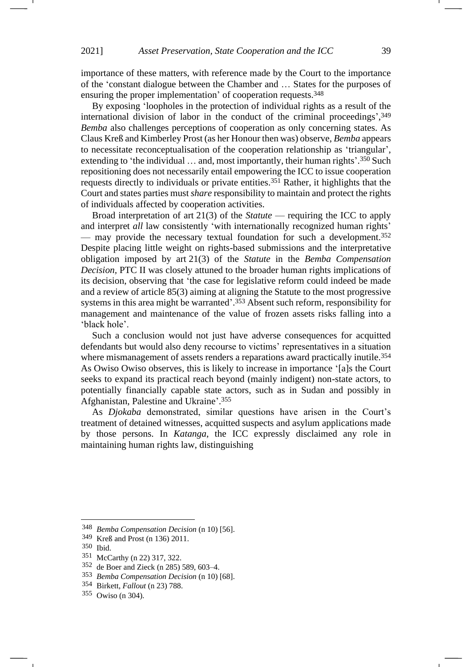importance of these matters, with reference made by the Court to the importance of the 'constant dialogue between the Chamber and … States for the purposes of ensuring the proper implementation' of cooperation requests.<sup>348</sup>

By exposing 'loopholes in the protection of individual rights as a result of the international division of labor in the conduct of the criminal proceedings', 349 *Bemba* also challenges perceptions of cooperation as only concerning states. As Claus Kreß and Kimberley Prost (as her Honour then was) observe, *Bemba* appears to necessitate reconceptualisation of the cooperation relationship as 'triangular', extending to 'the individual ... and, most importantly, their human rights'.<sup>350</sup> Such repositioning does not necessarily entail empowering the ICC to issue cooperation requests directly to individuals or private entities.<sup>351</sup> Rather, it highlights that the Court and states parties must *share* responsibility to maintain and protect the rights of individuals affected by cooperation activities.

Broad interpretation of art 21(3) of the *Statute* — requiring the ICC to apply and interpret *all* law consistently 'with internationally recognized human rights' — may provide the necessary textual foundation for such a development.<sup>352</sup> Despite placing little weight on rights-based submissions and the interpretative obligation imposed by art 21(3) of the *Statute* in the *Bemba Compensation Decision,* PTC II was closely attuned to the broader human rights implications of its decision, observing that 'the case for legislative reform could indeed be made and a review of article 85(3) aiming at aligning the Statute to the most progressive systems in this area might be warranted'. <sup>353</sup> Absent such reform, responsibility for management and maintenance of the value of frozen assets risks falling into a 'black hole'.

Such a conclusion would not just have adverse consequences for acquitted defendants but would also deny recourse to victims' representatives in a situation where mismanagement of assets renders a reparations award practically inutile.<sup>354</sup> As Owiso Owiso observes, this is likely to increase in importance '[a]s the Court seeks to expand its practical reach beyond (mainly indigent) non-state actors, to potentially financially capable state actors, such as in Sudan and possibly in Afghanistan, Palestine and Ukraine'. 355

As *Djokaba* demonstrated, similar questions have arisen in the Court's treatment of detained witnesses, acquitted suspects and asylum applications made by those persons. In *Katanga*, the ICC expressly disclaimed any role in maintaining human rights law, distinguishing

<sup>348</sup> *Bemba Compensation Decision* (n [10\)](#page-2-1) [56].

<sup>349</sup> Kreß and Prost (n [136\)](#page-17-3) 2011.

<sup>350</sup> Ibid.

<sup>351</sup> McCarthy (n [22\)](#page-3-1) 317, 322.

<sup>352</sup> de Boer and Zieck (n [285\)](#page-31-0) 589, 603–4.

<sup>353</sup> *Bemba Compensation Decision* (n [10\)](#page-2-1) [68].

<sup>354</sup> Birkett, *Fallout* ([n 23\)](#page-3-2) 788.

<sup>355</sup> Owiso (n [304\)](#page-33-0).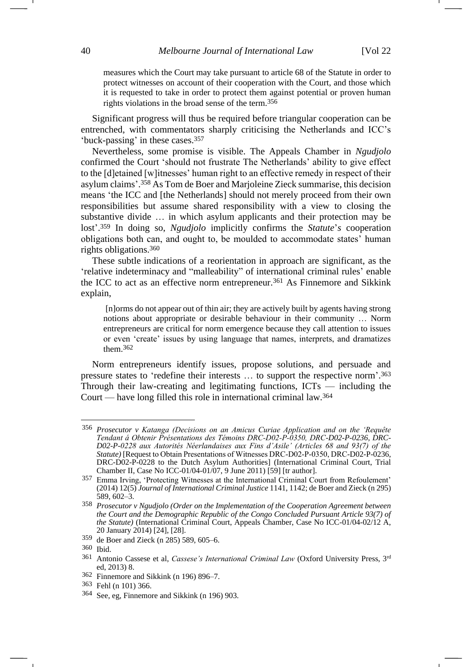measures which the Court may take pursuant to article 68 of the Statute in order to protect witnesses on account of their cooperation with the Court, and those which it is requested to take in order to protect them against potential or proven human rights violations in the broad sense of the term. 356

Significant progress will thus be required before triangular cooperation can be entrenched, with commentators sharply criticising the Netherlands and ICC's 'buck-passing' in these cases.<sup>357</sup>

Nevertheless, some promise is visible. The Appeals Chamber in *Ngudjolo*  confirmed the Court 'should not frustrate The Netherlands' ability to give effect to the [d]etained [w]itnesses' human right to an effective remedy in respect of their asylum claims'. <sup>358</sup> As Tom de Boer and Marjoleine Zieck summarise, this decision means 'the ICC and [the Netherlands] should not merely proceed from their own responsibilities but assume shared responsibility with a view to closing the substantive divide … in which asylum applicants and their protection may be lost'. <sup>359</sup> In doing so, *Ngudjolo* implicitly confirms the *Statute*'*s* cooperation obligations both can, and ought to, be moulded to accommodate states' human rights obligations.<sup>360</sup>

These subtle indications of a reorientation in approach are significant, as the 'relative indeterminacy and "malleability" of international criminal rules' enable the ICC to act as an effective norm entrepreneur.<sup>361</sup> As Finnemore and Sikkink explain,

[n]orms do not appear out of thin air; they are actively built by agents having strong notions about appropriate or desirable behaviour in their community … Norm entrepreneurs are critical for norm emergence because they call attention to issues or even 'create' issues by using language that names, interprets, and dramatizes them.362

Norm entrepreneurs identify issues, propose solutions, and persuade and pressure states to 'redefine their interests … to support the respective norm'. 363 Through their law-creating and legitimating functions, ICTs — including the Court — have long filled this role in international criminal law.<sup>364</sup>

<sup>356</sup> *Prosecutor v Katanga (Decisions on an Amicus Curiae Application and on the 'Requête Tendant á Obtenir Présentations des Témoins DRC‐D02‐P‐0350, DRC-D02-P-0236, DRC-D02-P-0228 aux Autorités Néerlandaises aux Fins d'Asile' (Articles 68 and 93(7) of the Statute*) [Request to Obtain Presentations of Witnesses DRC-D02-P-0350, DRC-D02-P-0236, DRC-D02-P-0228 to the Dutch Asylum Authorities] (International Criminal Court, Trial Chamber II, Case No ICC-01/04-01/07, 9 June 2011) [59] [tr author].

<sup>357</sup> Emma Irving, 'Protecting Witnesses at the International Criminal Court from Refoulement' (2014) 12(5) *Journal of International Criminal Justice* 1141, 1142; de Boer and Zieck (n [295\)](#page-32-1) 589, 602–3.

<sup>358</sup> *Prosecutor v Ngudjolo (Order on the Implementation of the Cooperation Agreement between the Court and the Demographic Republic of the Congo Concluded Pursuant Article 93(7) of the Statute)* (International Criminal Court, Appeals Chamber, Case No ICC-01/04-02/12 A, 20 January 2014) [24], [28].

<sup>359</sup> de Boer and Zieck (n [285\)](#page-31-0) 589, 605–6.

<sup>360</sup> Ibid.

<sup>361</sup> Antonio Cassese et al, *Cassese's International Criminal Law* (Oxford University Press, 3rd ed, 2013) 8.

<sup>362</sup> Finnemore and Sikkink (n [196\)](#page-22-2) 896–7.

<sup>363</sup> Fehl (n [101\)](#page-13-2) 366.

<sup>364</sup> See, eg, Finnemore and Sikkink (n [196\)](#page-22-2) 903.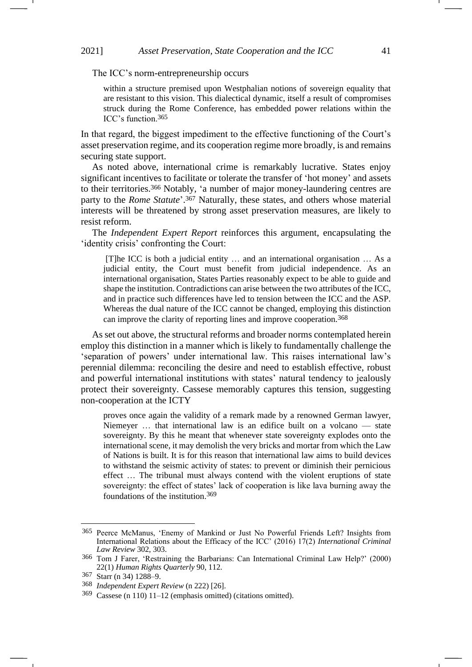The ICC's norm-entrepreneurship occurs

<span id="page-40-0"></span>within a structure premised upon Westphalian notions of sovereign equality that are resistant to this vision. This dialectical dynamic, itself a result of compromises struck during the Rome Conference, has embedded power relations within the ICC's function.365

In that regard, the biggest impediment to the effective functioning of the Court's asset preservation regime, and its cooperation regime more broadly, is and remains securing state support.

As noted above, international crime is remarkably lucrative. States enjoy significant incentives to facilitate or tolerate the transfer of 'hot money' and assets to their territories.<sup>366</sup> Notably, 'a number of major money-laundering centres are party to the *Rome Statute*'. <sup>367</sup> Naturally, these states, and others whose material interests will be threatened by strong asset preservation measures, are likely to resist reform.

The *Independent Expert Report* reinforces this argument, encapsulating the 'identity crisis' confronting the Court:

[T]he ICC is both a judicial entity … and an international organisation … As a judicial entity, the Court must benefit from judicial independence. As an international organisation, States Parties reasonably expect to be able to guide and shape the institution. Contradictions can arise between the two attributes of the ICC, and in practice such differences have led to tension between the ICC and the ASP. Whereas the dual nature of the ICC cannot be changed, employing this distinction can improve the clarity of reporting lines and improve cooperation.368

As set out above, the structural reforms and broader norms contemplated herein employ this distinction in a manner which is likely to fundamentally challenge the 'separation of powers' under international law. This raises international law's perennial dilemma: reconciling the desire and need to establish effective, robust and powerful international institutions with states' natural tendency to jealously protect their sovereignty. Cassese memorably captures this tension, suggesting non-cooperation at the ICTY

proves once again the validity of a remark made by a renowned German lawyer, Niemeyer … that international law is an edifice built on a volcano — state sovereignty. By this he meant that whenever state sovereignty explodes onto the international scene, it may demolish the very bricks and mortar from which the Law of Nations is built. It is for this reason that international law aims to build devices to withstand the seismic activity of states: to prevent or diminish their pernicious effect … The tribunal must always contend with the violent eruptions of state sovereignty: the effect of states' lack of cooperation is like lava burning away the foundations of the institution.369

<sup>365</sup> Peerce McManus, 'Enemy of Mankind or Just No Powerful Friends Left? Insights from International Relations about the Efficacy of the ICC' (2016) 17(2) *International Criminal Law Review* 302, 303.

<sup>366</sup> Tom J Farer, 'Restraining the Barbarians: Can International Criminal Law Help?' (2000) 22(1) *Human Rights Quarterly* 90, 112.

<sup>367</sup> Starr ([n 34\)](#page-6-0) 1288–9.

<sup>368</sup> *Independent Expert Review* (n [222\)](#page-25-1) [26].

<sup>369</sup> Cassese (n [110\)](#page-14-0) 11–12 (emphasis omitted) (citations omitted).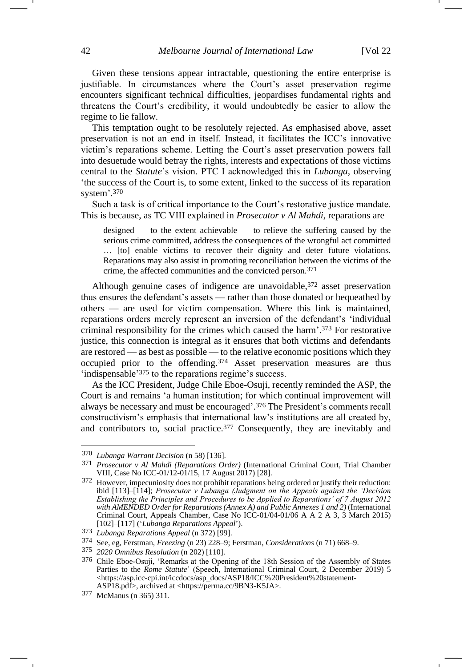Given these tensions appear intractable, questioning the entire enterprise is justifiable. In circumstances where the Court's asset preservation regime encounters significant technical difficulties, jeopardises fundamental rights and threatens the Court's credibility, it would undoubtedly be easier to allow the regime to lie fallow.

This temptation ought to be resolutely rejected. As emphasised above, asset preservation is not an end in itself. Instead, it facilitates the ICC's innovative victim's reparations scheme. Letting the Court's asset preservation powers fall into desuetude would betray the rights, interests and expectations of those victims central to the *Statute*'s vision. PTC I acknowledged this in *Lubanga,* observing 'the success of the Court is, to some extent, linked to the success of its reparation system'. 370

Such a task is of critical importance to the Court's restorative justice mandate. This is because, as TC VIII explained in *Prosecutor v Al Mahdi*, reparations are

<span id="page-41-0"></span>designed — to the extent achievable — to relieve the suffering caused by the serious crime committed, address the consequences of the wrongful act committed … [to] enable victims to recover their dignity and deter future violations. Reparations may also assist in promoting reconciliation between the victims of the crime, the affected communities and the convicted person.371

Although genuine cases of indigence are unavoidable, 372 asset preservation thus ensures the defendant's assets — rather than those donated or bequeathed by others — are used for victim compensation. Where this link is maintained, reparations orders merely represent an inversion of the defendant's 'individual criminal responsibility for the crimes which caused the harm'. <sup>373</sup> For restorative justice, this connection is integral as it ensures that both victims and defendants are restored — as best as possible — to the relative economic positions which they occupied prior to the offending.<sup>374</sup> Asset preservation measures are thus 'indispensable'<sup>375</sup> to the reparations regime's success.

As the ICC President, Judge Chile Eboe-Osuji, recently reminded the ASP, the Court is and remains 'a human institution; for which continual improvement will always be necessary and must be encouraged'. <sup>376</sup> The President's comments recall constructivism's emphasis that international law's institutions are all created by, and contributors to, social practice.<sup>377</sup> Consequently, they are inevitably and

<sup>370</sup> *Lubanga Warrant Decision* (n [58\)](#page-9-1) [136].

<sup>371</sup> *Prosecutor v Al Mahdi (Reparations Order)* (International Criminal Court, Trial Chamber VIII, Case No ICC-01/12-01/15, 17 August 2017) [28].

<sup>372</sup> However, impecuniosity does not prohibit reparations being ordered or justify their reduction: ibid [113]–[114]; *Prosecutor v Lubanga (Judgment on the Appeals against the 'Decision Establishing the Principles and Procedures to be Applied to Reparations' of 7 August 2012 with AMENDED Order for Reparations (Annex A) and Public Annexes 1 and 2)* (International Criminal Court, Appeals Chamber, Case No ICC-01/04-01/06 A A 2 A 3, 3 March 2015) [102]–[117] ('*Lubanga Reparations Appeal*').

<sup>373</sup> *Lubanga Reparations Appeal* (n [372\)](#page-41-0) [99].

<sup>374</sup> See, eg, Ferstman, *Freezing* (n [23\)](#page-3-2) 228–9; Ferstman, *Considerations* ([n 71\)](#page-10-1) 668–9.

<sup>375</sup> *2020 Omnibus Resolution* (n [202\)](#page-23-0) [110].

<sup>376</sup> Chile Eboe-Osuji, 'Remarks at the Opening of the 18th Session of the Assembly of States Parties to the *Rome Statute*' (Speech, International Criminal Court, 2 December 2019) 5 <https://asp.icc-cpi.int/iccdocs/asp\_docs/ASP18/ICC%20President%20statement-ASP18.pdf>, archived at <https://perma.cc/9BN3-K5JA>.

<sup>377</sup> McManus (n [365\)](#page-40-0) 311.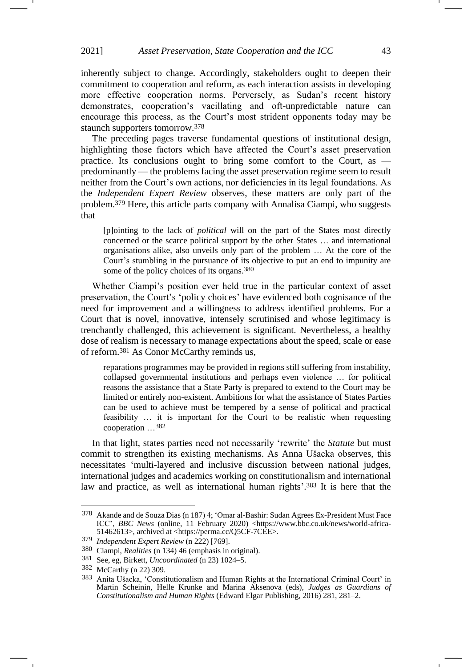inherently subject to change. Accordingly, stakeholders ought to deepen their commitment to cooperation and reform, as each interaction assists in developing more effective cooperation norms. Perversely, as Sudan's recent history demonstrates, cooperation's vacillating and oft-unpredictable nature can encourage this process, as the Court's most strident opponents today may be staunch supporters tomorrow.<sup>378</sup>

The preceding pages traverse fundamental questions of institutional design, highlighting those factors which have affected the Court's asset preservation practice. Its conclusions ought to bring some comfort to the Court, as predominantly — the problems facing the asset preservation regime seem to result neither from the Court's own actions, nor deficiencies in its legal foundations. As the *Independent Expert Review* observes, these matters are only part of the problem.<sup>379</sup> Here, this article parts company with Annalisa Ciampi, who suggests that

[p]ointing to the lack of *political* will on the part of the States most directly concerned or the scarce political support by the other States … and international organisations alike, also unveils only part of the problem … At the core of the Court's stumbling in the pursuance of its objective to put an end to impunity are some of the policy choices of its organs.380

Whether Ciampi's position ever held true in the particular context of asset preservation, the Court's 'policy choices' have evidenced both cognisance of the need for improvement and a willingness to address identified problems. For a Court that is novel, innovative, intensely scrutinised and whose legitimacy is trenchantly challenged, this achievement is significant. Nevertheless, a healthy dose of realism is necessary to manage expectations about the speed, scale or ease of reform.<sup>381</sup> As Conor McCarthy reminds us,

reparations programmes may be provided in regions still suffering from instability, collapsed governmental institutions and perhaps even violence … for political reasons the assistance that a State Party is prepared to extend to the Court may be limited or entirely non-existent. Ambitions for what the assistance of States Parties can be used to achieve must be tempered by a sense of political and practical feasibility … it is important for the Court to be realistic when requesting cooperation …382

In that light, states parties need not necessarily 'rewrite' the *Statute* but must commit to strengthen its existing mechanisms. As Anna Ušacka observes, this necessitates 'multi-layered and inclusive discussion between national judges, international judges and academics working on constitutionalism and international law and practice, as well as international human rights'. <sup>383</sup> It is here that the

<sup>378</sup> Akande and de Souza Dias ([n 187\)](#page-21-0) 4; 'Omar al-Bashir: Sudan Agrees Ex-President Must Face ICC', *BBC News* (online, 11 February 2020) <https://www.bbc.co.uk/news/world-africa-51462613>, archived at <https://perma.cc/Q5CF-7CEE>.

<sup>379</sup> *Independent Expert Review* (n [222\)](#page-25-1) [769].

<sup>380</sup> Ciampi, *Realities* ([n 134\)](#page-17-1) 46 (emphasis in original).

<sup>381</sup> See, eg, Birkett, *Uncoordinated* (n [23\)](#page-3-2) 1024–5.

<sup>382</sup> McCarthy (n [22\)](#page-3-1) 309.

<sup>383</sup> Anita Ušacka, 'Constitutionalism and Human Rights at the International Criminal Court' in Martin Scheinin, Helle Krunke and Marina Aksenova (eds), *Judges as Guardians of Constitutionalism and Human Rights* (Edward Elgar Publishing, 2016) 281, 281–2.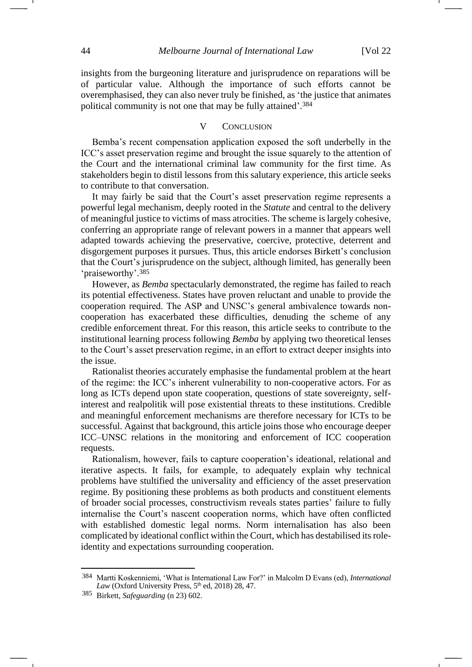insights from the burgeoning literature and jurisprudence on reparations will be of particular value. Although the importance of such efforts cannot be overemphasised, they can also never truly be finished, as 'the justice that animates political community is not one that may be fully attained'. 384

# V CONCLUSION

Bemba's recent compensation application exposed the soft underbelly in the ICC's asset preservation regime and brought the issue squarely to the attention of the Court and the international criminal law community for the first time. As stakeholders begin to distil lessons from this salutary experience, this article seeks to contribute to that conversation.

It may fairly be said that the Court's asset preservation regime represents a powerful legal mechanism, deeply rooted in the *Statute* and central to the delivery of meaningful justice to victims of mass atrocities. The scheme is largely cohesive, conferring an appropriate range of relevant powers in a manner that appears well adapted towards achieving the preservative, coercive, protective, deterrent and disgorgement purposes it pursues. Thus, this article endorses Birkett's conclusion that the Court's jurisprudence on the subject, although limited, has generally been 'praiseworthy'. 385

However, as *Bemba* spectacularly demonstrated, the regime has failed to reach its potential effectiveness. States have proven reluctant and unable to provide the cooperation required. The ASP and UNSC's general ambivalence towards noncooperation has exacerbated these difficulties, denuding the scheme of any credible enforcement threat. For this reason, this article seeks to contribute to the institutional learning process following *Bemba* by applying two theoretical lenses to the Court's asset preservation regime, in an effort to extract deeper insights into the issue.

Rationalist theories accurately emphasise the fundamental problem at the heart of the regime: the ICC's inherent vulnerability to non-cooperative actors. For as long as ICTs depend upon state cooperation, questions of state sovereignty, selfinterest and realpolitik will pose existential threats to these institutions. Credible and meaningful enforcement mechanisms are therefore necessary for ICTs to be successful. Against that background, this article joins those who encourage deeper ICC–UNSC relations in the monitoring and enforcement of ICC cooperation requests.

Rationalism, however, fails to capture cooperation's ideational, relational and iterative aspects. It fails, for example, to adequately explain why technical problems have stultified the universality and efficiency of the asset preservation regime. By positioning these problems as both products and constituent elements of broader social processes, constructivism reveals states parties' failure to fully internalise the Court's nascent cooperation norms, which have often conflicted with established domestic legal norms. Norm internalisation has also been complicated by ideational conflict within the Court, which has destabilised its roleidentity and expectations surrounding cooperation.

<sup>384</sup> Martti Koskenniemi, 'What is International Law For?' in Malcolm D Evans (ed), *International*  Law (Oxford University Press, 5<sup>th</sup> ed, 2018) 28, 47.

<sup>385</sup> Birkett, *Safeguarding* (n [23\)](#page-3-2) 602.